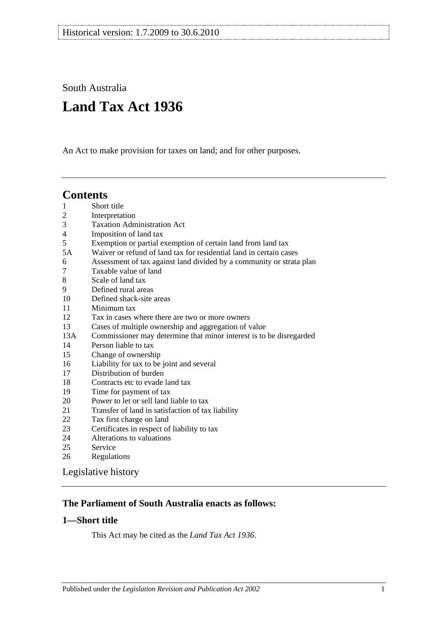South Australia

# **Land Tax Act 1936**

An Act to make provision for taxes on land; and for other purposes.

## **Contents**

| $\mathbf{1}$   | Short title                                                          |
|----------------|----------------------------------------------------------------------|
| $\overline{c}$ | Interpretation                                                       |
| 3              | <b>Taxation Administration Act</b>                                   |
| $\overline{4}$ | Imposition of land tax                                               |
| 5              | Exemption or partial exemption of certain land from land tax         |
| 5A             | Waiver or refund of land tax for residential land in certain cases   |
| 6              | Assessment of tax against land divided by a community or strata plan |
| 7              | Taxable value of land                                                |
| 8              | Scale of land tax                                                    |
| 9              | Defined rural areas                                                  |
| 10             | Defined shack-site areas                                             |
| 11             | Minimum tax                                                          |
| 12             | Tax in cases where there are two or more owners                      |
| 13             | Cases of multiple ownership and aggregation of value                 |
| 13A            | Commissioner may determine that minor interest is to be disregarded  |
| 14             | Person liable to tax                                                 |
| 15             | Change of ownership                                                  |
| 16             | Liability for tax to be joint and several                            |
| 17             | Distribution of burden                                               |
| 18             | Contracts etc to evade land tax                                      |
| 19             | Time for payment of tax                                              |
| 20             | Power to let or sell land liable to tax                              |
| 21             | Transfer of land in satisfaction of tax liability                    |
| 22             | Tax first charge on land                                             |
| 23             | Certificates in respect of liability to tax                          |
| 24             | Alterations to valuations                                            |
| 25             | Service                                                              |
| 26             | Regulations                                                          |

[Legislative history](#page-20-0)

## **The Parliament of South Australia enacts as follows:**

### <span id="page-0-0"></span>**1—Short title**

This Act may be cited as the *Land Tax Act 1936*.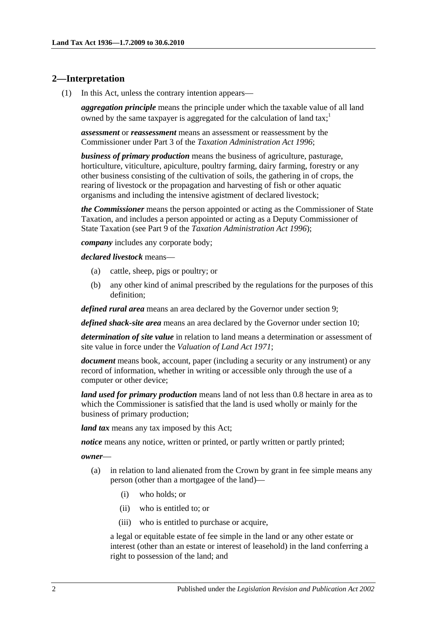#### <span id="page-1-1"></span><span id="page-1-0"></span>**2—Interpretation**

(1) In this Act, unless the contrary intention appears—

*aggregation principle* means the principle under which the taxable value of all land owned by the same taxpayer is aggregated for the calculation of land tax;<sup>1</sup>

*assessment* or *reassessment* means an assessment or reassessment by the Commissioner under Part 3 of the *[Taxation Administration Act](http://www.legislation.sa.gov.au/index.aspx?action=legref&type=act&legtitle=Taxation%20Administration%20Act%201996) 1996*;

*business of primary production* means the business of agriculture, pasturage, horticulture, viticulture, apiculture, poultry farming, dairy farming, forestry or any other business consisting of the cultivation of soils, the gathering in of crops, the rearing of livestock or the propagation and harvesting of fish or other aquatic organisms and including the intensive agistment of declared livestock;

*the Commissioner* means the person appointed or acting as the Commissioner of State Taxation, and includes a person appointed or acting as a Deputy Commissioner of State Taxation (see Part 9 of the *[Taxation Administration Act](http://www.legislation.sa.gov.au/index.aspx?action=legref&type=act&legtitle=Taxation%20Administration%20Act%201996) 1996*);

*company* includes any corporate body;

*declared livestock* means—

- (a) cattle, sheep, pigs or poultry; or
- (b) any other kind of animal prescribed by the regulations for the purposes of this definition;

*defined rural area* means an area declared by the Governor under [section](#page-14-0) 9;

*defined shack-site area* means an area declared by the Governor under [section](#page-14-1) 10;

*determination of site value* in relation to land means a determination or assessment of site value in force under the *[Valuation of Land Act](http://www.legislation.sa.gov.au/index.aspx?action=legref&type=act&legtitle=Valuation%20of%20Land%20Act%201971) 1971*;

*document* means book, account, paper (including a security or any instrument) or any record of information, whether in writing or accessible only through the use of a computer or other device;

*land used for primary production* means land of not less than 0.8 hectare in area as to which the Commissioner is satisfied that the land is used wholly or mainly for the business of primary production;

*land tax* means any tax imposed by this Act;

*notice* means any notice, written or printed, or partly written or partly printed;

*owner*—

- (a) in relation to land alienated from the Crown by grant in fee simple means any person (other than a mortgagee of the land)—
	- (i) who holds; or
	- (ii) who is entitled to; or
	- (iii) who is entitled to purchase or acquire,

a legal or equitable estate of fee simple in the land or any other estate or interest (other than an estate or interest of leasehold) in the land conferring a right to possession of the land; and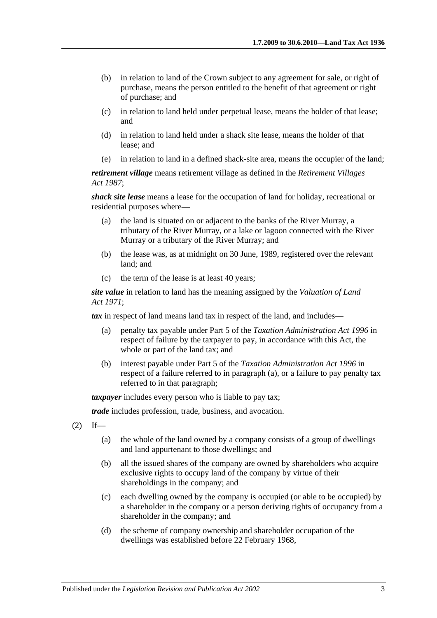- (b) in relation to land of the Crown subject to any agreement for sale, or right of purchase, means the person entitled to the benefit of that agreement or right of purchase; and
- (c) in relation to land held under perpetual lease, means the holder of that lease; and
- (d) in relation to land held under a shack site lease, means the holder of that lease; and
- (e) in relation to land in a defined shack-site area, means the occupier of the land;

*retirement village* means retirement village as defined in the *[Retirement Villages](http://www.legislation.sa.gov.au/index.aspx?action=legref&type=act&legtitle=Retirement%20Villages%20Act%201987)  Act [1987](http://www.legislation.sa.gov.au/index.aspx?action=legref&type=act&legtitle=Retirement%20Villages%20Act%201987)*;

*shack site lease* means a lease for the occupation of land for holiday, recreational or residential purposes where—

- (a) the land is situated on or adjacent to the banks of the River Murray, a tributary of the River Murray, or a lake or lagoon connected with the River Murray or a tributary of the River Murray; and
- (b) the lease was, as at midnight on 30 June, 1989, registered over the relevant land; and
- (c) the term of the lease is at least 40 years;

*site value* in relation to land has the meaning assigned by the *[Valuation of Land](http://www.legislation.sa.gov.au/index.aspx?action=legref&type=act&legtitle=Valuation%20of%20Land%20Act%201971)  Act [1971](http://www.legislation.sa.gov.au/index.aspx?action=legref&type=act&legtitle=Valuation%20of%20Land%20Act%201971)*;

<span id="page-2-0"></span>*tax* in respect of land means land tax in respect of the land, and includes—

- (a) penalty tax payable under Part 5 of the *[Taxation Administration Act](http://www.legislation.sa.gov.au/index.aspx?action=legref&type=act&legtitle=Taxation%20Administration%20Act%201996) 1996* in respect of failure by the taxpayer to pay, in accordance with this Act, the whole or part of the land tax; and
- (b) interest payable under Part 5 of the *[Taxation Administration Act](http://www.legislation.sa.gov.au/index.aspx?action=legref&type=act&legtitle=Taxation%20Administration%20Act%201996) 1996* in respect of a failure referred to in [paragraph](#page-2-0) (a), or a failure to pay penalty tax referred to in that paragraph;

*taxpayer* includes every person who is liable to pay tax;

*trade* includes profession, trade, business, and avocation.

- $(2)$  If—
	- (a) the whole of the land owned by a company consists of a group of dwellings and land appurtenant to those dwellings; and
	- (b) all the issued shares of the company are owned by shareholders who acquire exclusive rights to occupy land of the company by virtue of their shareholdings in the company; and
	- (c) each dwelling owned by the company is occupied (or able to be occupied) by a shareholder in the company or a person deriving rights of occupancy from a shareholder in the company; and
	- (d) the scheme of company ownership and shareholder occupation of the dwellings was established before 22 February 1968,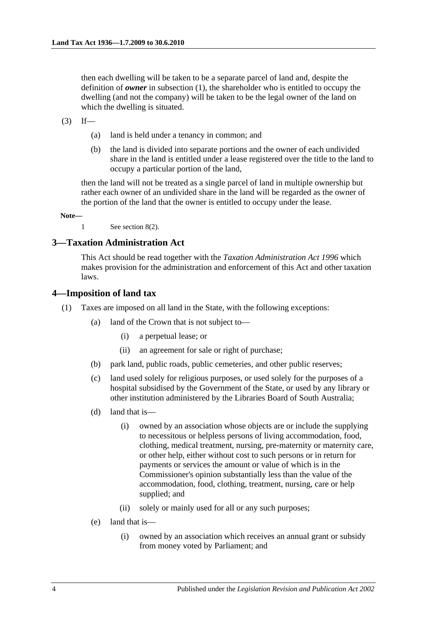then each dwelling will be taken to be a separate parcel of land and, despite the definition of *owner* in [subsection](#page-1-1) (1), the shareholder who is entitled to occupy the dwelling (and not the company) will be taken to be the legal owner of the land on which the dwelling is situated.

 $(3)$  If—

- (a) land is held under a tenancy in common; and
- (b) the land is divided into separate portions and the owner of each undivided share in the land is entitled under a lease registered over the title to the land to occupy a particular portion of the land,

then the land will not be treated as a single parcel of land in multiple ownership but rather each owner of an undivided share in the land will be regarded as the owner of the portion of the land that the owner is entitled to occupy under the lease.

**Note—**

1 See [section](#page-13-2) 8(2).

#### <span id="page-3-0"></span>**3—Taxation Administration Act**

This Act should be read together with the *[Taxation Administration Act](http://www.legislation.sa.gov.au/index.aspx?action=legref&type=act&legtitle=Taxation%20Administration%20Act%201996) 1996* which makes provision for the administration and enforcement of this Act and other taxation laws.

#### <span id="page-3-1"></span>**4—Imposition of land tax**

- <span id="page-3-3"></span><span id="page-3-2"></span>(1) Taxes are imposed on all land in the State, with the following exceptions:
	- (a) land of the Crown that is not subject to—
		- (i) a perpetual lease; or
		- (ii) an agreement for sale or right of purchase;
	- (b) park land, public roads, public cemeteries, and other public reserves;
	- (c) land used solely for religious purposes, or used solely for the purposes of a hospital subsidised by the Government of the State, or used by any library or other institution administered by the Libraries Board of South Australia;
	- (d) land that is—
		- (i) owned by an association whose objects are or include the supplying to necessitous or helpless persons of living accommodation, food, clothing, medical treatment, nursing, pre-maternity or maternity care, or other help, either without cost to such persons or in return for payments or services the amount or value of which is in the Commissioner's opinion substantially less than the value of the accommodation, food, clothing, treatment, nursing, care or help supplied; and
		- (ii) solely or mainly used for all or any such purposes;
	- (e) land that is—
		- (i) owned by an association which receives an annual grant or subsidy from money voted by Parliament; and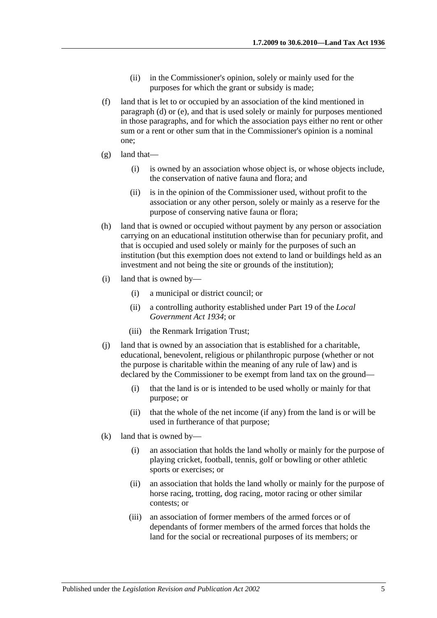- (ii) in the Commissioner's opinion, solely or mainly used for the purposes for which the grant or subsidy is made;
- (f) land that is let to or occupied by an association of the kind mentioned in [paragraph](#page-3-2) (d) or [\(e\),](#page-3-3) and that is used solely or mainly for purposes mentioned in those paragraphs, and for which the association pays either no rent or other sum or a rent or other sum that in the Commissioner's opinion is a nominal one;
- (g) land that—
	- (i) is owned by an association whose object is, or whose objects include, the conservation of native fauna and flora; and
	- (ii) is in the opinion of the Commissioner used, without profit to the association or any other person, solely or mainly as a reserve for the purpose of conserving native fauna or flora;
- (h) land that is owned or occupied without payment by any person or association carrying on an educational institution otherwise than for pecuniary profit, and that is occupied and used solely or mainly for the purposes of such an institution (but this exemption does not extend to land or buildings held as an investment and not being the site or grounds of the institution);
- (i) land that is owned by—
	- (i) a municipal or district council; or
	- (ii) a controlling authority established under Part 19 of the *[Local](http://www.legislation.sa.gov.au/index.aspx?action=legref&type=act&legtitle=Local%20Government%20Act%201934)  [Government Act](http://www.legislation.sa.gov.au/index.aspx?action=legref&type=act&legtitle=Local%20Government%20Act%201934) 1934*; or
	- (iii) the Renmark Irrigation Trust;
- (j) land that is owned by an association that is established for a charitable, educational, benevolent, religious or philanthropic purpose (whether or not the purpose is charitable within the meaning of any rule of law) and is declared by the Commissioner to be exempt from land tax on the ground—
	- (i) that the land is or is intended to be used wholly or mainly for that purpose; or
	- (ii) that the whole of the net income (if any) from the land is or will be used in furtherance of that purpose;
- (k) land that is owned by—
	- (i) an association that holds the land wholly or mainly for the purpose of playing cricket, football, tennis, golf or bowling or other athletic sports or exercises; or
	- (ii) an association that holds the land wholly or mainly for the purpose of horse racing, trotting, dog racing, motor racing or other similar contests; or
	- (iii) an association of former members of the armed forces or of dependants of former members of the armed forces that holds the land for the social or recreational purposes of its members; or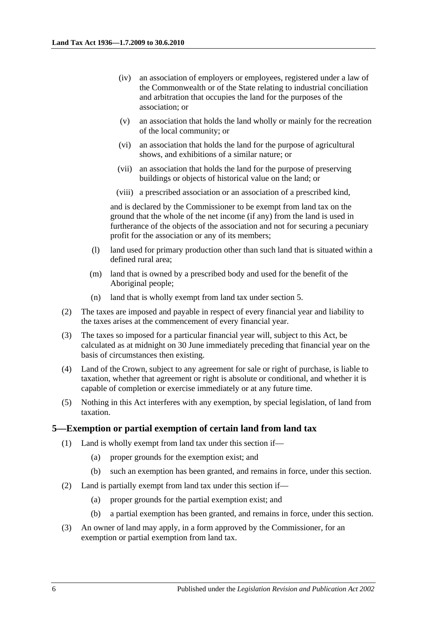- (iv) an association of employers or employees, registered under a law of the Commonwealth or of the State relating to industrial conciliation and arbitration that occupies the land for the purposes of the association; or
- (v) an association that holds the land wholly or mainly for the recreation of the local community; or
- (vi) an association that holds the land for the purpose of agricultural shows, and exhibitions of a similar nature; or
- (vii) an association that holds the land for the purpose of preserving buildings or objects of historical value on the land; or
- (viii) a prescribed association or an association of a prescribed kind,

and is declared by the Commissioner to be exempt from land tax on the ground that the whole of the net income (if any) from the land is used in furtherance of the objects of the association and not for securing a pecuniary profit for the association or any of its members;

- (l) land used for primary production other than such land that is situated within a defined rural area;
- (m) land that is owned by a prescribed body and used for the benefit of the Aboriginal people;
- (n) land that is wholly exempt from land tax under [section](#page-5-0) 5.
- (2) The taxes are imposed and payable in respect of every financial year and liability to the taxes arises at the commencement of every financial year.
- (3) The taxes so imposed for a particular financial year will, subject to this Act, be calculated as at midnight on 30 June immediately preceding that financial year on the basis of circumstances then existing.
- (4) Land of the Crown, subject to any agreement for sale or right of purchase, is liable to taxation, whether that agreement or right is absolute or conditional, and whether it is capable of completion or exercise immediately or at any future time.
- (5) Nothing in this Act interferes with any exemption, by special legislation, of land from taxation.

#### <span id="page-5-0"></span>**5—Exemption or partial exemption of certain land from land tax**

- (1) Land is wholly exempt from land tax under this section if—
	- (a) proper grounds for the exemption exist; and
	- (b) such an exemption has been granted, and remains in force, under this section.
- (2) Land is partially exempt from land tax under this section if—
	- (a) proper grounds for the partial exemption exist; and
	- (b) a partial exemption has been granted, and remains in force, under this section.
- <span id="page-5-1"></span>(3) An owner of land may apply, in a form approved by the Commissioner, for an exemption or partial exemption from land tax.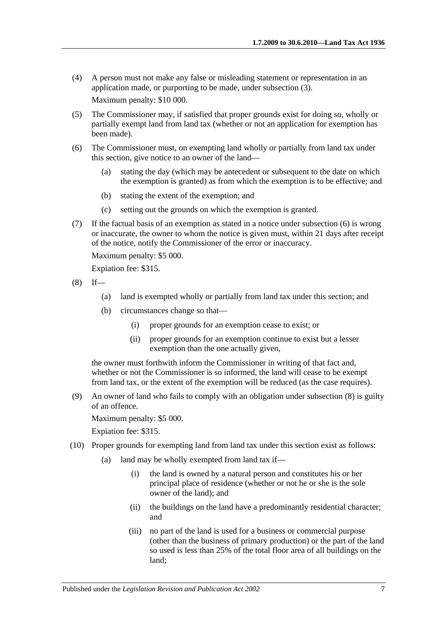- (4) A person must not make any false or misleading statement or representation in an application made, or purporting to be made, under [subsection](#page-5-1) (3). Maximum penalty: \$10 000.
- (5) The Commissioner may, if satisfied that proper grounds exist for doing so, wholly or partially exempt land from land tax (whether or not an application for exemption has been made).
- <span id="page-6-0"></span>(6) The Commissioner must, on exempting land wholly or partially from land tax under this section, give notice to an owner of the land—
	- (a) stating the day (which may be antecedent or subsequent to the date on which the exemption is granted) as from which the exemption is to be effective; and
	- (b) stating the extent of the exemption; and
	- (c) setting out the grounds on which the exemption is granted.
- (7) If the factual basis of an exemption as stated in a notice under [subsection](#page-6-0) (6) is wrong or inaccurate, the owner to whom the notice is given must, within 21 days after receipt of the notice, notify the Commissioner of the error or inaccuracy.

Maximum penalty: \$5 000.

Expiation fee: \$315.

- <span id="page-6-1"></span> $(8)$  If—
	- (a) land is exempted wholly or partially from land tax under this section; and
	- (b) circumstances change so that—
		- (i) proper grounds for an exemption cease to exist; or
		- (ii) proper grounds for an exemption continue to exist but a lesser exemption than the one actually given,

the owner must forthwith inform the Commissioner in writing of that fact and, whether or not the Commissioner is so informed, the land will cease to be exempt from land tax, or the extent of the exemption will be reduced (as the case requires).

(9) An owner of land who fails to comply with an obligation under [subsection](#page-6-1) (8) is guilty of an offence.

Maximum penalty: \$5 000.

Expiation fee: \$315.

- <span id="page-6-2"></span>(10) Proper grounds for exempting land from land tax under this section exist as follows:
	- (a) land may be wholly exempted from land tax if—
		- (i) the land is owned by a natural person and constitutes his or her principal place of residence (whether or not he or she is the sole owner of the land); and
		- (ii) the buildings on the land have a predominantly residential character; and
		- (iii) no part of the land is used for a business or commercial purpose (other than the business of primary production) or the part of the land so used is less than 25% of the total floor area of all buildings on the land;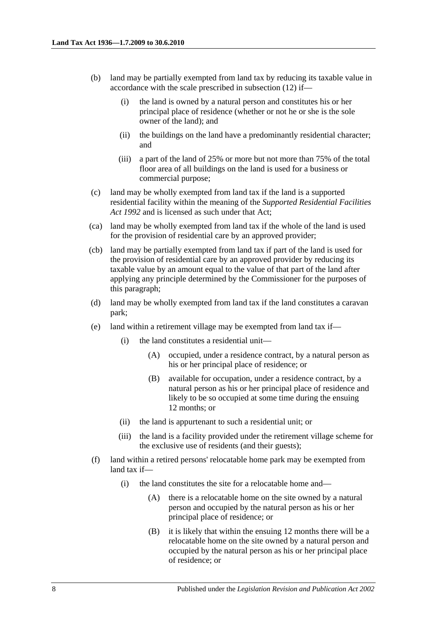- <span id="page-7-0"></span>(b) land may be partially exempted from land tax by reducing its taxable value in accordance with the scale prescribed in [subsection](#page-9-0) (12) if—
	- (i) the land is owned by a natural person and constitutes his or her principal place of residence (whether or not he or she is the sole owner of the land); and
	- (ii) the buildings on the land have a predominantly residential character; and
	- (iii) a part of the land of 25% or more but not more than 75% of the total floor area of all buildings on the land is used for a business or commercial purpose;
- (c) land may be wholly exempted from land tax if the land is a supported residential facility within the meaning of the *[Supported Residential Facilities](http://www.legislation.sa.gov.au/index.aspx?action=legref&type=act&legtitle=Supported%20Residential%20Facilities%20Act%201992)  Act [1992](http://www.legislation.sa.gov.au/index.aspx?action=legref&type=act&legtitle=Supported%20Residential%20Facilities%20Act%201992)* and is licensed as such under that Act;
- (ca) land may be wholly exempted from land tax if the whole of the land is used for the provision of residential care by an approved provider;
- (cb) land may be partially exempted from land tax if part of the land is used for the provision of residential care by an approved provider by reducing its taxable value by an amount equal to the value of that part of the land after applying any principle determined by the Commissioner for the purposes of this paragraph;
- (d) land may be wholly exempted from land tax if the land constitutes a caravan park;
- (e) land within a retirement village may be exempted from land tax if—
	- (i) the land constitutes a residential unit—
		- (A) occupied, under a residence contract, by a natural person as his or her principal place of residence; or
		- (B) available for occupation, under a residence contract, by a natural person as his or her principal place of residence and likely to be so occupied at some time during the ensuing 12 months; or
	- (ii) the land is appurtenant to such a residential unit; or
	- (iii) the land is a facility provided under the retirement village scheme for the exclusive use of residents (and their guests);
- (f) land within a retired persons' relocatable home park may be exempted from land tax if—
	- (i) the land constitutes the site for a relocatable home and—
		- (A) there is a relocatable home on the site owned by a natural person and occupied by the natural person as his or her principal place of residence; or
		- (B) it is likely that within the ensuing 12 months there will be a relocatable home on the site owned by a natural person and occupied by the natural person as his or her principal place of residence; or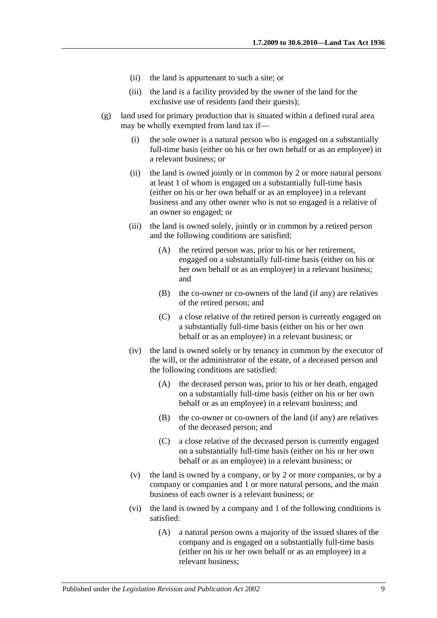- (ii) the land is appurtenant to such a site; or
- (iii) the land is a facility provided by the owner of the land for the exclusive use of residents (and their guests);
- (g) land used for primary production that is situated within a defined rural area may be wholly exempted from land tax if—
	- (i) the sole owner is a natural person who is engaged on a substantially full-time basis (either on his or her own behalf or as an employee) in a relevant business; or
	- (ii) the land is owned jointly or in common by 2 or more natural persons at least 1 of whom is engaged on a substantially full-time basis (either on his or her own behalf or as an employee) in a relevant business and any other owner who is not so engaged is a relative of an owner so engaged; or
	- (iii) the land is owned solely, jointly or in common by a retired person and the following conditions are satisfied:
		- (A) the retired person was, prior to his or her retirement, engaged on a substantially full-time basis (either on his or her own behalf or as an employee) in a relevant business: and
		- (B) the co-owner or co-owners of the land (if any) are relatives of the retired person; and
		- (C) a close relative of the retired person is currently engaged on a substantially full-time basis (either on his or her own behalf or as an employee) in a relevant business; or
	- (iv) the land is owned solely or by tenancy in common by the executor of the will, or the administrator of the estate, of a deceased person and the following conditions are satisfied:
		- (A) the deceased person was, prior to his or her death, engaged on a substantially full-time basis (either on his or her own behalf or as an employee) in a relevant business; and
		- (B) the co-owner or co-owners of the land (if any) are relatives of the deceased person; and
		- (C) a close relative of the deceased person is currently engaged on a substantially full-time basis (either on his or her own behalf or as an employee) in a relevant business; or
	- (v) the land is owned by a company, or by 2 or more companies, or by a company or companies and 1 or more natural persons, and the main business of each owner is a relevant business; or
	- (vi) the land is owned by a company and 1 of the following conditions is satisfied:
		- (A) a natural person owns a majority of the issued shares of the company and is engaged on a substantially full-time basis (either on his or her own behalf or as an employee) in a relevant business;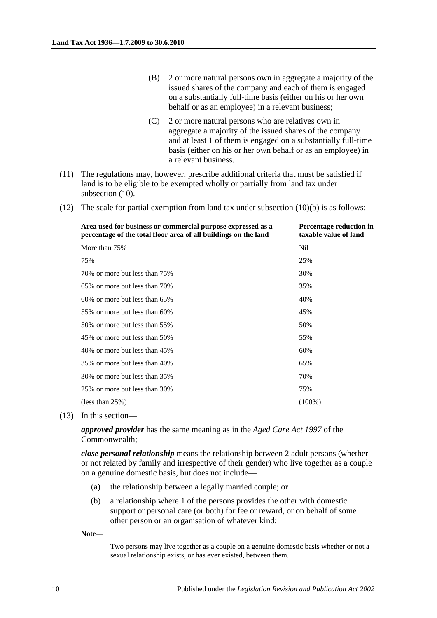- (B) 2 or more natural persons own in aggregate a majority of the issued shares of the company and each of them is engaged on a substantially full-time basis (either on his or her own behalf or as an employee) in a relevant business;
- (C) 2 or more natural persons who are relatives own in aggregate a majority of the issued shares of the company and at least 1 of them is engaged on a substantially full-time basis (either on his or her own behalf or as an employee) in a relevant business.
- (11) The regulations may, however, prescribe additional criteria that must be satisfied if land is to be eligible to be exempted wholly or partially from land tax under [subsection](#page-6-2)  $(10)$ .
- <span id="page-9-0"></span>(12) The scale for partial exemption from land tax under [subsection](#page-7-0)  $(10)(b)$  is as follows:

| Area used for business or commercial purpose expressed as a<br>percentage of the total floor area of all buildings on the land | Percentage reduction in<br>taxable value of land |
|--------------------------------------------------------------------------------------------------------------------------------|--------------------------------------------------|
| More than 75%                                                                                                                  | Nil                                              |
| 75%                                                                                                                            | 25%                                              |
| 70\% or more but less than 75\%                                                                                                | 30%                                              |
| 65% or more but less than 70%                                                                                                  | 35%                                              |
| 60% or more but less than 65%                                                                                                  | 40%                                              |
| 55% or more but less than 60%                                                                                                  | 45%                                              |
| 50% or more but less than 55%                                                                                                  | 50%                                              |
| 45% or more but less than 50%                                                                                                  | 55%                                              |
| 40% or more but less than 45%                                                                                                  | 60%                                              |
| 35% or more but less than 40%                                                                                                  | 65%                                              |
| 30% or more but less than 35%                                                                                                  | 70%                                              |
| 25% or more but less than 30%                                                                                                  | 75%                                              |
| (less than $25\%$ )                                                                                                            | $(100\%)$                                        |

(13) In this section—

*approved provider* has the same meaning as in the *Aged Care Act 1997* of the Commonwealth;

*close personal relationship* means the relationship between 2 adult persons (whether or not related by family and irrespective of their gender) who live together as a couple on a genuine domestic basis, but does not include—

- (a) the relationship between a legally married couple; or
- (b) a relationship where 1 of the persons provides the other with domestic support or personal care (or both) for fee or reward, or on behalf of some other person or an organisation of whatever kind;

**Note—**

Two persons may live together as a couple on a genuine domestic basis whether or not a sexual relationship exists, or has ever existed, between them.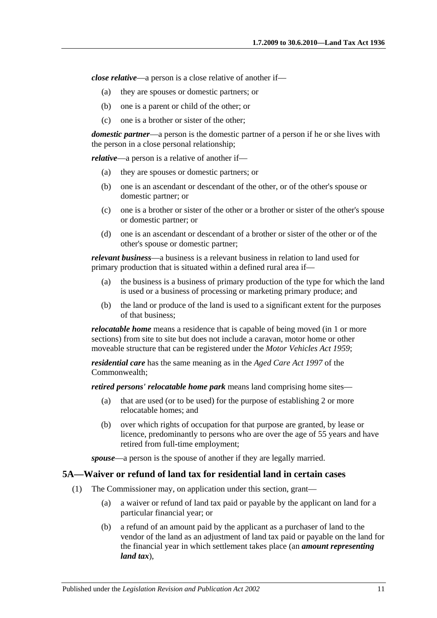*close relative*—a person is a close relative of another if—

- (a) they are spouses or domestic partners; or
- (b) one is a parent or child of the other; or
- (c) one is a brother or sister of the other;

*domestic partner*—a person is the domestic partner of a person if he or she lives with the person in a close personal relationship;

*relative*—a person is a relative of another if—

- (a) they are spouses or domestic partners; or
- (b) one is an ascendant or descendant of the other, or of the other's spouse or domestic partner; or
- (c) one is a brother or sister of the other or a brother or sister of the other's spouse or domestic partner; or
- (d) one is an ascendant or descendant of a brother or sister of the other or of the other's spouse or domestic partner;

*relevant business*—a business is a relevant business in relation to land used for primary production that is situated within a defined rural area if—

- (a) the business is a business of primary production of the type for which the land is used or a business of processing or marketing primary produce; and
- (b) the land or produce of the land is used to a significant extent for the purposes of that business;

*relocatable home* means a residence that is capable of being moved (in 1 or more sections) from site to site but does not include a caravan, motor home or other moveable structure that can be registered under the *[Motor Vehicles Act](http://www.legislation.sa.gov.au/index.aspx?action=legref&type=act&legtitle=Motor%20Vehicles%20Act%201959) 1959*;

*residential care* has the same meaning as in the *Aged Care Act 1997* of the Commonwealth;

*retired persons' relocatable home park* means land comprising home sites—

- (a) that are used (or to be used) for the purpose of establishing 2 or more relocatable homes; and
- (b) over which rights of occupation for that purpose are granted, by lease or licence, predominantly to persons who are over the age of 55 years and have retired from full-time employment;

*spouse*—a person is the spouse of another if they are legally married.

#### <span id="page-10-1"></span><span id="page-10-0"></span>**5A—Waiver or refund of land tax for residential land in certain cases**

- (1) The Commissioner may, on application under this section, grant—
	- (a) a waiver or refund of land tax paid or payable by the applicant on land for a particular financial year; or
	- (b) a refund of an amount paid by the applicant as a purchaser of land to the vendor of the land as an adjustment of land tax paid or payable on the land for the financial year in which settlement takes place (an *amount representing land tax*),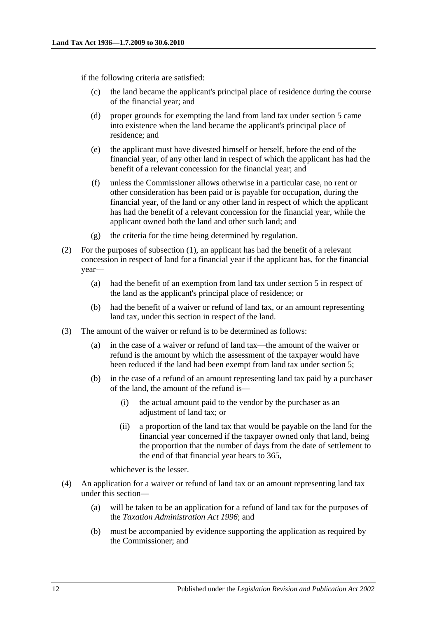if the following criteria are satisfied:

- (c) the land became the applicant's principal place of residence during the course of the financial year; and
- (d) proper grounds for exempting the land from land tax under [section](#page-5-0) 5 came into existence when the land became the applicant's principal place of residence; and
- (e) the applicant must have divested himself or herself, before the end of the financial year, of any other land in respect of which the applicant has had the benefit of a relevant concession for the financial year; and
- (f) unless the Commissioner allows otherwise in a particular case, no rent or other consideration has been paid or is payable for occupation, during the financial year, of the land or any other land in respect of which the applicant has had the benefit of a relevant concession for the financial year, while the applicant owned both the land and other such land; and
- (g) the criteria for the time being determined by regulation.
- (2) For the purposes of [subsection](#page-10-1) (1), an applicant has had the benefit of a relevant concession in respect of land for a financial year if the applicant has, for the financial year—
	- (a) had the benefit of an exemption from land tax under [section](#page-5-0) 5 in respect of the land as the applicant's principal place of residence; or
	- (b) had the benefit of a waiver or refund of land tax, or an amount representing land tax, under this section in respect of the land.
- (3) The amount of the waiver or refund is to be determined as follows:
	- (a) in the case of a waiver or refund of land tax—the amount of the waiver or refund is the amount by which the assessment of the taxpayer would have been reduced if the land had been exempt from land tax under [section](#page-5-0) 5;
	- (b) in the case of a refund of an amount representing land tax paid by a purchaser of the land, the amount of the refund is—
		- (i) the actual amount paid to the vendor by the purchaser as an adjustment of land tax; or
		- (ii) a proportion of the land tax that would be payable on the land for the financial year concerned if the taxpayer owned only that land, being the proportion that the number of days from the date of settlement to the end of that financial year bears to 365,

whichever is the lesser.

- (4) An application for a waiver or refund of land tax or an amount representing land tax under this section—
	- (a) will be taken to be an application for a refund of land tax for the purposes of the *[Taxation Administration Act](http://www.legislation.sa.gov.au/index.aspx?action=legref&type=act&legtitle=Taxation%20Administration%20Act%201996) 1996*; and
	- (b) must be accompanied by evidence supporting the application as required by the Commissioner; and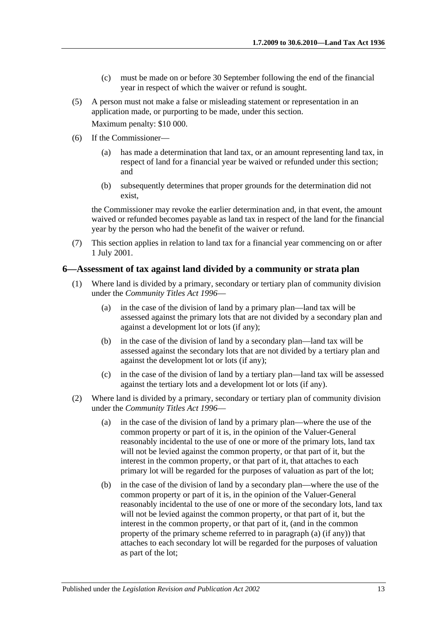- (c) must be made on or before 30 September following the end of the financial year in respect of which the waiver or refund is sought.
- (5) A person must not make a false or misleading statement or representation in an application made, or purporting to be made, under this section. Maximum penalty: \$10 000.
- (6) If the Commissioner—
	- (a) has made a determination that land tax, or an amount representing land tax, in respect of land for a financial year be waived or refunded under this section; and
	- (b) subsequently determines that proper grounds for the determination did not exist,

the Commissioner may revoke the earlier determination and, in that event, the amount waived or refunded becomes payable as land tax in respect of the land for the financial year by the person who had the benefit of the waiver or refund.

(7) This section applies in relation to land tax for a financial year commencing on or after 1 July 2001.

#### <span id="page-12-0"></span>**6—Assessment of tax against land divided by a community or strata plan**

- (1) Where land is divided by a primary, secondary or tertiary plan of community division under the *[Community Titles Act](http://www.legislation.sa.gov.au/index.aspx?action=legref&type=act&legtitle=Community%20Titles%20Act%201996) 1996*—
	- (a) in the case of the division of land by a primary plan—land tax will be assessed against the primary lots that are not divided by a secondary plan and against a development lot or lots (if any);
	- (b) in the case of the division of land by a secondary plan—land tax will be assessed against the secondary lots that are not divided by a tertiary plan and against the development lot or lots (if any);
	- (c) in the case of the division of land by a tertiary plan—land tax will be assessed against the tertiary lots and a development lot or lots (if any).
- <span id="page-12-2"></span><span id="page-12-1"></span>(2) Where land is divided by a primary, secondary or tertiary plan of community division under the *[Community Titles](http://www.legislation.sa.gov.au/index.aspx?action=legref&type=act&legtitle=Community%20Titles%20Act%201996) Act 1996*—
	- (a) in the case of the division of land by a primary plan—where the use of the common property or part of it is, in the opinion of the Valuer-General reasonably incidental to the use of one or more of the primary lots, land tax will not be levied against the common property, or that part of it, but the interest in the common property, or that part of it, that attaches to each primary lot will be regarded for the purposes of valuation as part of the lot;
	- (b) in the case of the division of land by a secondary plan—where the use of the common property or part of it is, in the opinion of the Valuer-General reasonably incidental to the use of one or more of the secondary lots, land tax will not be levied against the common property, or that part of it, but the interest in the common property, or that part of it, (and in the common property of the primary scheme referred to in [paragraph](#page-12-1) (a) (if any)) that attaches to each secondary lot will be regarded for the purposes of valuation as part of the lot;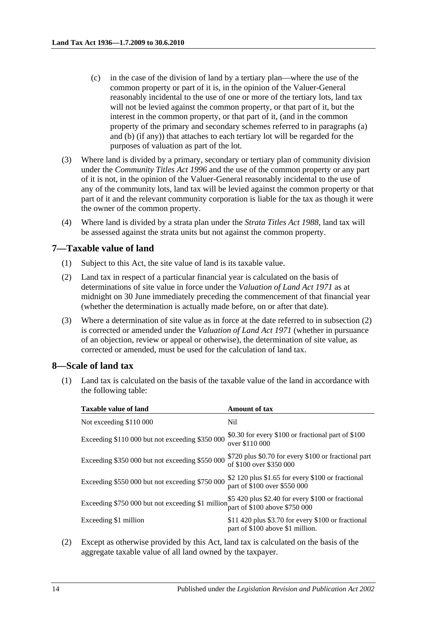- (c) in the case of the division of land by a tertiary plan—where the use of the common property or part of it is, in the opinion of the Valuer-General reasonably incidental to the use of one or more of the tertiary lots, land tax will not be levied against the common property, or that part of it, but the interest in the common property, or that part of it, (and in the common property of the primary and secondary schemes referred to in [paragraphs](#page-12-1) (a) and [\(b\)](#page-12-2) (if any)) that attaches to each tertiary lot will be regarded for the purposes of valuation as part of the lot.
- (3) Where land is divided by a primary, secondary or tertiary plan of community division under the *[Community Titles Act](http://www.legislation.sa.gov.au/index.aspx?action=legref&type=act&legtitle=Community%20Titles%20Act%201996) 1996* and the use of the common property or any part of it is not, in the opinion of the Valuer-General reasonably incidental to the use of any of the community lots, land tax will be levied against the common property or that part of it and the relevant community corporation is liable for the tax as though it were the owner of the common property.
- (4) Where land is divided by a strata plan under the *[Strata Titles Act](http://www.legislation.sa.gov.au/index.aspx?action=legref&type=act&legtitle=Strata%20Titles%20Act%201988) 1988*, land tax will be assessed against the strata units but not against the common property.

#### <span id="page-13-0"></span>**7—Taxable value of land**

- (1) Subject to this Act, the site value of land is its taxable value.
- <span id="page-13-3"></span>(2) Land tax in respect of a particular financial year is calculated on the basis of determinations of site value in force under the *[Valuation of Land Act](http://www.legislation.sa.gov.au/index.aspx?action=legref&type=act&legtitle=Valuation%20of%20Land%20Act%201971) 1971* as at midnight on 30 June immediately preceding the commencement of that financial year (whether the determination is actually made before, on or after that date).
- (3) Where a determination of site value as in force at the date referred to in [subsection](#page-13-3) (2) is corrected or amended under the *[Valuation of Land Act](http://www.legislation.sa.gov.au/index.aspx?action=legref&type=act&legtitle=Valuation%20of%20Land%20Act%201971) 1971* (whether in pursuance of an objection, review or appeal or otherwise), the determination of site value, as corrected or amended, must be used for the calculation of land tax.

#### <span id="page-13-1"></span>**8—Scale of land tax**

(1) Land tax is calculated on the basis of the taxable value of the land in accordance with the following table:

| \$0.30 for every \$100 or fractional part of \$100                                                  |
|-----------------------------------------------------------------------------------------------------|
| \$720 plus \$0.70 for every \$100 or fractional part                                                |
| \$2 120 plus \$1.65 for every \$100 or fractional                                                   |
| Exceeding \$750 000 but not exceeding \$1 million \$5 420 plus \$2.40 for every \$100 or fractional |
| \$11,420 plus \$3.70 for every \$100 or fractional                                                  |
|                                                                                                     |

<span id="page-13-2"></span>(2) Except as otherwise provided by this Act, land tax is calculated on the basis of the aggregate taxable value of all land owned by the taxpayer.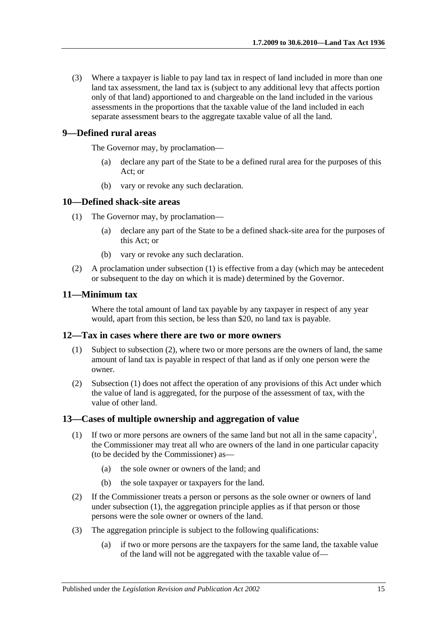(3) Where a taxpayer is liable to pay land tax in respect of land included in more than one land tax assessment, the land tax is (subject to any additional levy that affects portion only of that land) apportioned to and chargeable on the land included in the various assessments in the proportions that the taxable value of the land included in each separate assessment bears to the aggregate taxable value of all the land.

#### <span id="page-14-0"></span>**9—Defined rural areas**

The Governor may, by proclamation—

- (a) declare any part of the State to be a defined rural area for the purposes of this Act; or
- (b) vary or revoke any such declaration.

#### <span id="page-14-5"></span><span id="page-14-1"></span>**10—Defined shack-site areas**

- (1) The Governor may, by proclamation—
	- (a) declare any part of the State to be a defined shack-site area for the purposes of this Act; or
	- (b) vary or revoke any such declaration.
- (2) A proclamation under [subsection](#page-14-5) (1) is effective from a day (which may be antecedent or subsequent to the day on which it is made) determined by the Governor.

#### <span id="page-14-2"></span>**11—Minimum tax**

Where the total amount of land tax payable by any taxpayer in respect of any year would, apart from this section, be less than \$20, no land tax is payable.

#### <span id="page-14-7"></span><span id="page-14-3"></span>**12—Tax in cases where there are two or more owners**

- (1) Subject to [subsection](#page-14-6) (2), where two or more persons are the owners of land, the same amount of land tax is payable in respect of that land as if only one person were the owner.
- <span id="page-14-6"></span>(2) [Subsection](#page-14-7) (1) does not affect the operation of any provisions of this Act under which the value of land is aggregated, for the purpose of the assessment of tax, with the value of other land.

#### <span id="page-14-8"></span><span id="page-14-4"></span>**13—Cases of multiple ownership and aggregation of value**

- (1) If two or more persons are owners of the same land but not all in the same capacity<sup>1</sup>, the Commissioner may treat all who are owners of the land in one particular capacity (to be decided by the Commissioner) as—
	- (a) the sole owner or owners of the land; and
	- (b) the sole taxpayer or taxpayers for the land.
- (2) If the Commissioner treats a person or persons as the sole owner or owners of land under [subsection](#page-14-8) (1), the aggregation principle applies as if that person or those persons were the sole owner or owners of the land.
- (3) The aggregation principle is subject to the following qualifications:
	- (a) if two or more persons are the taxpayers for the same land, the taxable value of the land will not be aggregated with the taxable value of—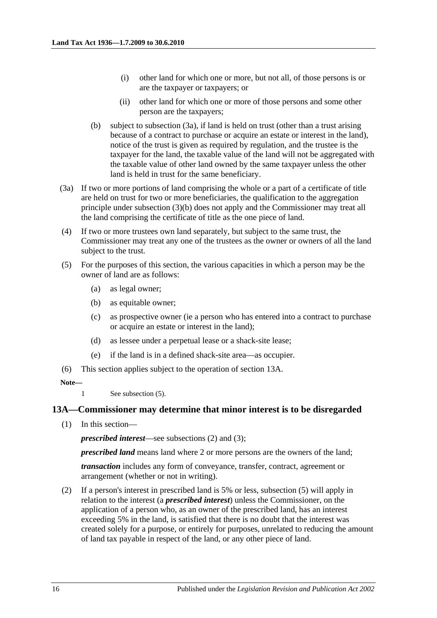- (i) other land for which one or more, but not all, of those persons is or are the taxpayer or taxpayers; or
- (ii) other land for which one or more of those persons and some other person are the taxpayers;
- <span id="page-15-2"></span>(b) subject to [subsection](#page-15-1) (3a), if land is held on trust (other than a trust arising because of a contract to purchase or acquire an estate or interest in the land), notice of the trust is given as required by regulation, and the trustee is the taxpayer for the land, the taxable value of the land will not be aggregated with the taxable value of other land owned by the same taxpayer unless the other land is held in trust for the same beneficiary.
- <span id="page-15-1"></span>(3a) If two or more portions of land comprising the whole or a part of a certificate of title are held on trust for two or more beneficiaries, the qualification to the aggregation principle under [subsection](#page-15-2) (3)(b) does not apply and the Commissioner may treat all the land comprising the certificate of title as the one piece of land.
- (4) If two or more trustees own land separately, but subject to the same trust, the Commissioner may treat any one of the trustees as the owner or owners of all the land subject to the trust.
- <span id="page-15-3"></span>(5) For the purposes of this section, the various capacities in which a person may be the owner of land are as follows:
	- (a) as legal owner;
	- (b) as equitable owner;
	- (c) as prospective owner (ie a person who has entered into a contract to purchase or acquire an estate or interest in the land);
	- (d) as lessee under a perpetual lease or a shack-site lease;
	- (e) if the land is in a defined shack-site area—as occupier.
- (6) This section applies subject to the operation of [section](#page-15-0) 13A.

#### **Note—**

1 See [subsection](#page-15-3) (5).

#### <span id="page-15-0"></span>**13A—Commissioner may determine that minor interest is to be disregarded**

(1) In this section—

*prescribed interest*—see [subsections](#page-15-4) (2) and [\(3\);](#page-16-0)

*prescribed land* means land where 2 or more persons are the owners of the land;

*transaction* includes any form of conveyance, transfer, contract, agreement or arrangement (whether or not in writing).

<span id="page-15-4"></span>(2) If a person's interest in prescribed land is 5% or less, [subsection](#page-16-1) (5) will apply in relation to the interest (a *prescribed interest*) unless the Commissioner, on the application of a person who, as an owner of the prescribed land, has an interest exceeding 5% in the land, is satisfied that there is no doubt that the interest was created solely for a purpose, or entirely for purposes, unrelated to reducing the amount of land tax payable in respect of the land, or any other piece of land.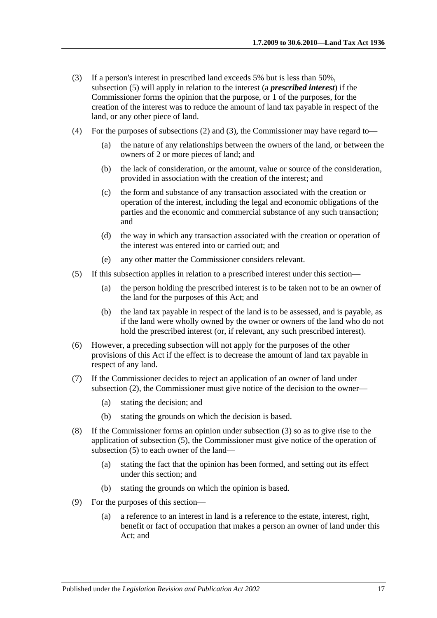- <span id="page-16-0"></span>(3) If a person's interest in prescribed land exceeds 5% but is less than 50%, [subsection](#page-16-1) (5) will apply in relation to the interest (a *prescribed interest*) if the Commissioner forms the opinion that the purpose, or 1 of the purposes, for the creation of the interest was to reduce the amount of land tax payable in respect of the land, or any other piece of land.
- (4) For the purposes of [subsections](#page-15-4) (2) and [\(3\),](#page-16-0) the Commissioner may have regard to—
	- (a) the nature of any relationships between the owners of the land, or between the owners of 2 or more pieces of land; and
	- (b) the lack of consideration, or the amount, value or source of the consideration, provided in association with the creation of the interest; and
	- (c) the form and substance of any transaction associated with the creation or operation of the interest, including the legal and economic obligations of the parties and the economic and commercial substance of any such transaction; and
	- (d) the way in which any transaction associated with the creation or operation of the interest was entered into or carried out; and
	- (e) any other matter the Commissioner considers relevant.
- <span id="page-16-1"></span>(5) If this subsection applies in relation to a prescribed interest under this section—
	- (a) the person holding the prescribed interest is to be taken not to be an owner of the land for the purposes of this Act; and
	- (b) the land tax payable in respect of the land is to be assessed, and is payable, as if the land were wholly owned by the owner or owners of the land who do not hold the prescribed interest (or, if relevant, any such prescribed interest).
- (6) However, a preceding subsection will not apply for the purposes of the other provisions of this Act if the effect is to decrease the amount of land tax payable in respect of any land.
- (7) If the Commissioner decides to reject an application of an owner of land under [subsection](#page-15-4) (2), the Commissioner must give notice of the decision to the owner—
	- (a) stating the decision; and
	- (b) stating the grounds on which the decision is based.
- (8) If the Commissioner forms an opinion under [subsection](#page-16-0) (3) so as to give rise to the application of [subsection](#page-16-1) (5), the Commissioner must give notice of the operation of [subsection](#page-16-1) (5) to each owner of the land—
	- (a) stating the fact that the opinion has been formed, and setting out its effect under this section; and
	- (b) stating the grounds on which the opinion is based.
- (9) For the purposes of this section—
	- (a) a reference to an interest in land is a reference to the estate, interest, right, benefit or fact of occupation that makes a person an owner of land under this Act; and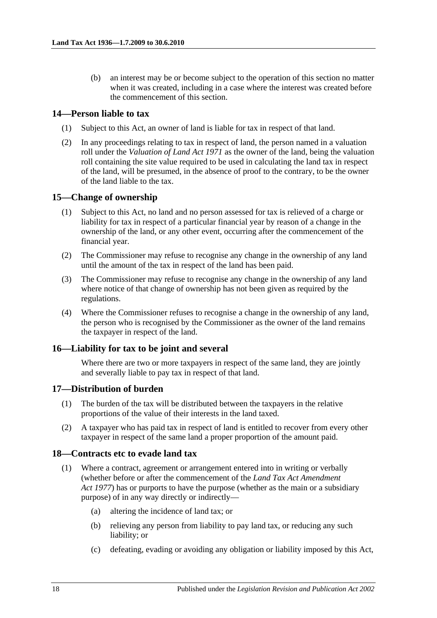(b) an interest may be or become subject to the operation of this section no matter when it was created, including in a case where the interest was created before the commencement of this section.

#### <span id="page-17-0"></span>**14—Person liable to tax**

- (1) Subject to this Act, an owner of land is liable for tax in respect of that land.
- (2) In any proceedings relating to tax in respect of land, the person named in a valuation roll under the *[Valuation of Land Act](http://www.legislation.sa.gov.au/index.aspx?action=legref&type=act&legtitle=Valuation%20of%20Land%20Act%201971) 1971* as the owner of the land, being the valuation roll containing the site value required to be used in calculating the land tax in respect of the land, will be presumed, in the absence of proof to the contrary, to be the owner of the land liable to the tax.

#### <span id="page-17-1"></span>**15—Change of ownership**

- (1) Subject to this Act, no land and no person assessed for tax is relieved of a charge or liability for tax in respect of a particular financial year by reason of a change in the ownership of the land, or any other event, occurring after the commencement of the financial year.
- (2) The Commissioner may refuse to recognise any change in the ownership of any land until the amount of the tax in respect of the land has been paid.
- (3) The Commissioner may refuse to recognise any change in the ownership of any land where notice of that change of ownership has not been given as required by the regulations.
- (4) Where the Commissioner refuses to recognise a change in the ownership of any land, the person who is recognised by the Commissioner as the owner of the land remains the taxpayer in respect of the land.

#### <span id="page-17-2"></span>**16—Liability for tax to be joint and several**

Where there are two or more taxpayers in respect of the same land, they are jointly and severally liable to pay tax in respect of that land.

#### <span id="page-17-3"></span>**17—Distribution of burden**

- (1) The burden of the tax will be distributed between the taxpayers in the relative proportions of the value of their interests in the land taxed.
- (2) A taxpayer who has paid tax in respect of land is entitled to recover from every other taxpayer in respect of the same land a proper proportion of the amount paid.

#### <span id="page-17-4"></span>**18—Contracts etc to evade land tax**

- (1) Where a contract, agreement or arrangement entered into in writing or verbally (whether before or after the commencement of the *Land Tax Act Amendment Act 1977*) has or purports to have the purpose (whether as the main or a subsidiary purpose) of in any way directly or indirectly—
	- (a) altering the incidence of land tax; or
	- (b) relieving any person from liability to pay land tax, or reducing any such liability; or
	- (c) defeating, evading or avoiding any obligation or liability imposed by this Act,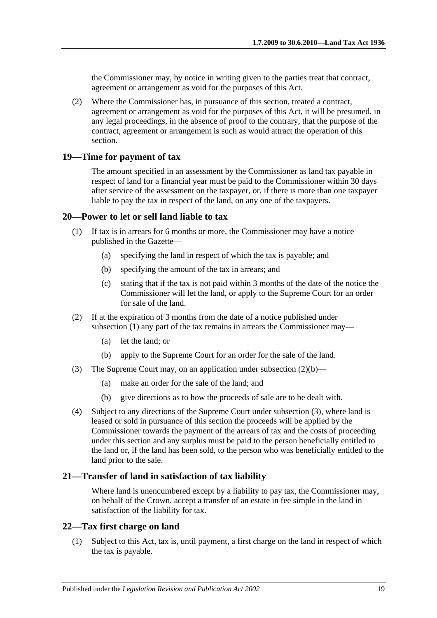the Commissioner may, by notice in writing given to the parties treat that contract, agreement or arrangement as void for the purposes of this Act.

(2) Where the Commissioner has, in pursuance of this section, treated a contract, agreement or arrangement as void for the purposes of this Act, it will be presumed, in any legal proceedings, in the absence of proof to the contrary, that the purpose of the contract, agreement or arrangement is such as would attract the operation of this section.

#### <span id="page-18-0"></span>**19—Time for payment of tax**

The amount specified in an assessment by the Commissioner as land tax payable in respect of land for a financial year must be paid to the Commissioner within 30 days after service of the assessment on the taxpayer, or, if there is more than one taxpayer liable to pay the tax in respect of the land, on any one of the taxpayers.

#### <span id="page-18-4"></span><span id="page-18-1"></span>**20—Power to let or sell land liable to tax**

- (1) If tax is in arrears for 6 months or more, the Commissioner may have a notice published in the Gazette—
	- (a) specifying the land in respect of which the tax is payable; and
	- (b) specifying the amount of the tax in arrears; and
	- (c) stating that if the tax is not paid within 3 months of the date of the notice the Commissioner will let the land, or apply to the Supreme Court for an order for sale of the land.
- (2) If at the expiration of 3 months from the date of a notice published under [subsection](#page-18-4) (1) any part of the tax remains in arrears the Commissioner may—
	- (a) let the land; or
	- (b) apply to the Supreme Court for an order for the sale of the land.
- <span id="page-18-6"></span><span id="page-18-5"></span>(3) The Supreme Court may, on an application under [subsection](#page-18-5)  $(2)(b)$ —
	- (a) make an order for the sale of the land; and
	- (b) give directions as to how the proceeds of sale are to be dealt with.
- (4) Subject to any directions of the Supreme Court under [subsection](#page-18-6) (3), where land is leased or sold in pursuance of this section the proceeds will be applied by the Commissioner towards the payment of the arrears of tax and the costs of proceeding under this section and any surplus must be paid to the person beneficially entitled to the land or, if the land has been sold, to the person who was beneficially entitled to the land prior to the sale.

#### <span id="page-18-2"></span>**21—Transfer of land in satisfaction of tax liability**

Where land is unencumbered except by a liability to pay tax, the Commissioner may, on behalf of the Crown, accept a transfer of an estate in fee simple in the land in satisfaction of the liability for tax.

#### <span id="page-18-3"></span>**22—Tax first charge on land**

(1) Subject to this Act, tax is, until payment, a first charge on the land in respect of which the tax is payable.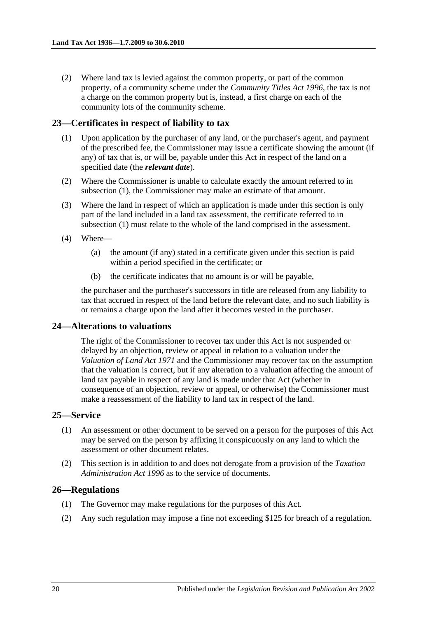(2) Where land tax is levied against the common property, or part of the common property, of a community scheme under the *[Community Titles Act](http://www.legislation.sa.gov.au/index.aspx?action=legref&type=act&legtitle=Community%20Titles%20Act%201996) 1996*, the tax is not a charge on the common property but is, instead, a first charge on each of the community lots of the community scheme.

#### <span id="page-19-4"></span><span id="page-19-0"></span>**23—Certificates in respect of liability to tax**

- (1) Upon application by the purchaser of any land, or the purchaser's agent, and payment of the prescribed fee, the Commissioner may issue a certificate showing the amount (if any) of tax that is, or will be, payable under this Act in respect of the land on a specified date (the *relevant date*).
- (2) Where the Commissioner is unable to calculate exactly the amount referred to in [subsection](#page-19-4) (1), the Commissioner may make an estimate of that amount.
- (3) Where the land in respect of which an application is made under this section is only part of the land included in a land tax assessment, the certificate referred to in [subsection](#page-19-4) (1) must relate to the whole of the land comprised in the assessment.
- (4) Where—
	- (a) the amount (if any) stated in a certificate given under this section is paid within a period specified in the certificate; or
	- (b) the certificate indicates that no amount is or will be payable,

the purchaser and the purchaser's successors in title are released from any liability to tax that accrued in respect of the land before the relevant date, and no such liability is or remains a charge upon the land after it becomes vested in the purchaser.

#### <span id="page-19-1"></span>**24—Alterations to valuations**

The right of the Commissioner to recover tax under this Act is not suspended or delayed by an objection, review or appeal in relation to a valuation under the *[Valuation of Land Act](http://www.legislation.sa.gov.au/index.aspx?action=legref&type=act&legtitle=Valuation%20of%20Land%20Act%201971) 1971* and the Commissioner may recover tax on the assumption that the valuation is correct, but if any alteration to a valuation affecting the amount of land tax payable in respect of any land is made under that Act (whether in consequence of an objection, review or appeal, or otherwise) the Commissioner must make a reassessment of the liability to land tax in respect of the land.

#### <span id="page-19-2"></span>**25—Service**

- (1) An assessment or other document to be served on a person for the purposes of this Act may be served on the person by affixing it conspicuously on any land to which the assessment or other document relates.
- (2) This section is in addition to and does not derogate from a provision of the *[Taxation](http://www.legislation.sa.gov.au/index.aspx?action=legref&type=act&legtitle=Taxation%20Administration%20Act%201996)  [Administration Act](http://www.legislation.sa.gov.au/index.aspx?action=legref&type=act&legtitle=Taxation%20Administration%20Act%201996) 1996* as to the service of documents.

#### <span id="page-19-3"></span>**26—Regulations**

- (1) The Governor may make regulations for the purposes of this Act.
- (2) Any such regulation may impose a fine not exceeding \$125 for breach of a regulation.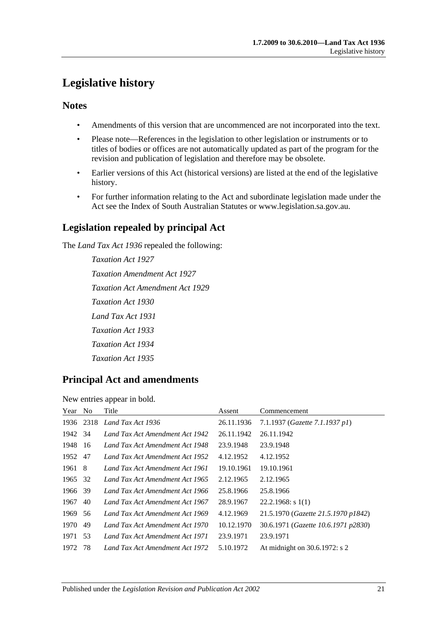## <span id="page-20-0"></span>**Legislative history**

## **Notes**

- Amendments of this version that are uncommenced are not incorporated into the text.
- Please note—References in the legislation to other legislation or instruments or to titles of bodies or offices are not automatically updated as part of the program for the revision and publication of legislation and therefore may be obsolete.
- Earlier versions of this Act (historical versions) are listed at the end of the legislative history.
- For further information relating to the Act and subordinate legislation made under the Act see the Index of South Australian Statutes or www.legislation.sa.gov.au.

## **Legislation repealed by principal Act**

The *Land Tax Act 1936* repealed the following:

*Taxation Act 1927 Taxation Amendment Act 1927 Taxation Act Amendment Act 1929 Taxation Act 1930 Land Tax Act 1931 Taxation Act 1933 Taxation Act 1934 Taxation Act 1935*

## **Principal Act and amendments**

New entries appear in bold.

| Year   | N <sub>o</sub> | Title                           | Assent     | Commencement                        |
|--------|----------------|---------------------------------|------------|-------------------------------------|
|        | 1936 2318      | Land Tax Act 1936               | 26.11.1936 | 7.1.1937 (Gazette 7.1.1937 p1)      |
| 1942   | -34            | Land Tax Act Amendment Act 1942 | 26.11.1942 | 26.11.1942                          |
| 1948   | -16            | Land Tax Act Amendment Act 1948 | 23.9.1948  | 23.9.1948                           |
| 1952   | 47             | Land Tax Act Amendment Act 1952 | 4.12.1952  | 4.12.1952                           |
| 1961 8 |                | Land Tax Act Amendment Act 1961 | 19.10.1961 | 19.10.1961                          |
| 1965   | 32             | Land Tax Act Amendment Act 1965 | 2.12.1965  | 2.12.1965                           |
| 1966   | 39             | Land Tax Act Amendment Act 1966 | 25.8.1966  | 25.8.1966                           |
| 1967   | 40             | Land Tax Act Amendment Act 1967 | 28.9.1967  | $22.2.1968$ : s 1(1)                |
| 1969   | 56             | Land Tax Act Amendment Act 1969 | 4.12.1969  | 21.5.1970 (Gazette 21.5.1970 p1842) |
| 1970   | 49             | Land Tax Act Amendment Act 1970 | 10.12.1970 | 30.6.1971 (Gazette 10.6.1971 p2830) |
| 1971   | 53             | Land Tax Act Amendment Act 1971 | 23.9.1971  | 23.9.1971                           |
| 1972   | 78             | Land Tax Act Amendment Act 1972 | 5.10.1972  | At midnight on 30.6.1972: s 2       |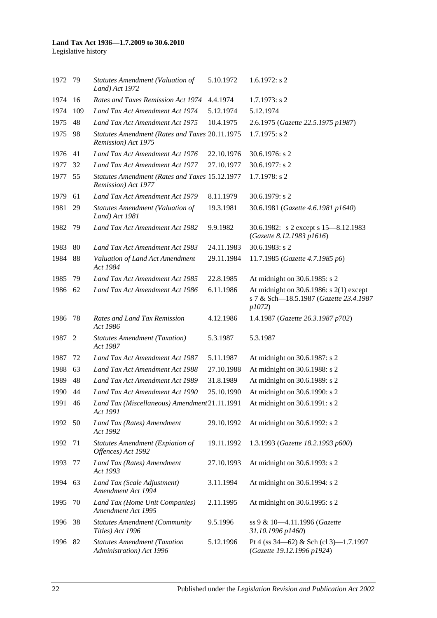| 1972 79 |     | <b>Statutes Amendment (Valuation of</b><br>Land) Act 1972             | 5.10.1972  | $1.6.1972$ : s 2                                                                                 |
|---------|-----|-----------------------------------------------------------------------|------------|--------------------------------------------------------------------------------------------------|
| 1974    | 16  | Rates and Taxes Remission Act 1974                                    | 4.4.1974   | $1.7.1973$ : s 2                                                                                 |
| 1974    | 109 | Land Tax Act Amendment Act 1974                                       | 5.12.1974  | 5.12.1974                                                                                        |
| 1975    | 48  | Land Tax Act Amendment Act 1975                                       | 10.4.1975  | 2.6.1975 (Gazette 22.5.1975 p1987)                                                               |
| 1975    | 98  | Statutes Amendment (Rates and Taxes 20.11.1975<br>Remission) Act 1975 |            | $1.7.1975$ : s 2                                                                                 |
| 1976    | 41  | Land Tax Act Amendment Act 1976                                       | 22.10.1976 | $30.6.1976$ : s 2                                                                                |
| 1977    | 32  | Land Tax Act Amendment Act 1977                                       | 27.10.1977 | $30.6.1977$ : s 2                                                                                |
| 1977    | 55  | Statutes Amendment (Rates and Taxes 15.12.1977<br>Remission) Act 1977 |            | $1.7.1978$ : s 2                                                                                 |
| 1979    | 61  | Land Tax Act Amendment Act 1979                                       | 8.11.1979  | $30.6.1979$ : s 2                                                                                |
| 1981    | 29  | <b>Statutes Amendment (Valuation of</b><br>Land) Act 1981             | 19.3.1981  | 30.6.1981 (Gazette 4.6.1981 p1640)                                                               |
| 1982    | 79  | Land Tax Act Amendment Act 1982                                       | 9.9.1982   | 30.6.1982: s 2 except s 15-8.12.1983<br>(Gazette 8.12.1983 p1616)                                |
| 1983    | 80  | Land Tax Act Amendment Act 1983                                       | 24.11.1983 | 30.6.1983: $s$ 2                                                                                 |
| 1984    | 88  | Valuation of Land Act Amendment<br>Act 1984                           | 29.11.1984 | 11.7.1985 (Gazette 4.7.1985 p6)                                                                  |
| 1985    | 79  | Land Tax Act Amendment Act 1985                                       | 22.8.1985  | At midnight on 30.6.1985: s 2                                                                    |
| 1986    | 62  | Land Tax Act Amendment Act 1986                                       | 6.11.1986  | At midnight on $30.6.1986$ : s $2(1)$ except<br>s 7 & Sch-18.5.1987 (Gazette 23.4.1987<br>p1072) |
| 1986    | 78  | Rates and Land Tax Remission<br>Act 1986                              | 4.12.1986  | 1.4.1987 (Gazette 26.3.1987 p702)                                                                |
| 1987    | 2   | <b>Statutes Amendment (Taxation)</b><br>Act 1987                      | 5.3.1987   | 5.3.1987                                                                                         |
| 1987    | 72  | Land Tax Act Amendment Act 1987                                       | 5.11.1987  | At midnight on 30.6.1987: s 2                                                                    |
| 1988    | 63  | Land Tax Act Amendment Act 1988                                       | 27.10.1988 | At midnight on 30.6.1988: s 2                                                                    |
| 1989    | 48  | Land Tax Act Amendment Act 1989                                       | 31.8.1989  | At midnight on 30.6.1989: s 2                                                                    |
| 1990    | 44  | Land Tax Act Amendment Act 1990                                       | 25.10.1990 | At midnight on 30.6.1990: s 2                                                                    |
| 1991 46 |     | Land Tax (Miscellaneous) Amendment 21.11.1991<br>Act 1991             |            | At midnight on 30.6.1991: s 2                                                                    |
| 1992 50 |     | Land Tax (Rates) Amendment<br>Act 1992                                | 29.10.1992 | At midnight on 30.6.1992: s 2                                                                    |
| 1992    | 71  | <b>Statutes Amendment (Expiation of</b><br>Offences) Act 1992         | 19.11.1992 | 1.3.1993 (Gazette 18.2.1993 p600)                                                                |
| 1993    | 77  | Land Tax (Rates) Amendment                                            | 27.10.1993 | At midnight on 30.6.1993: s 2                                                                    |
|         |     | Act 1993                                                              |            |                                                                                                  |
| 1994    | 63  | Land Tax (Scale Adjustment)<br>Amendment Act 1994                     | 3.11.1994  | At midnight on 30.6.1994: s 2                                                                    |
| 1995    | 70  | Land Tax (Home Unit Companies)<br>Amendment Act 1995                  | 2.11.1995  | At midnight on 30.6.1995: s 2                                                                    |
| 1996    | 38  | <b>Statutes Amendment (Community</b><br>Titles) Act 1996              | 9.5.1996   | ss 9 & 10-4.11.1996 (Gazette<br>31.10.1996 p1460)                                                |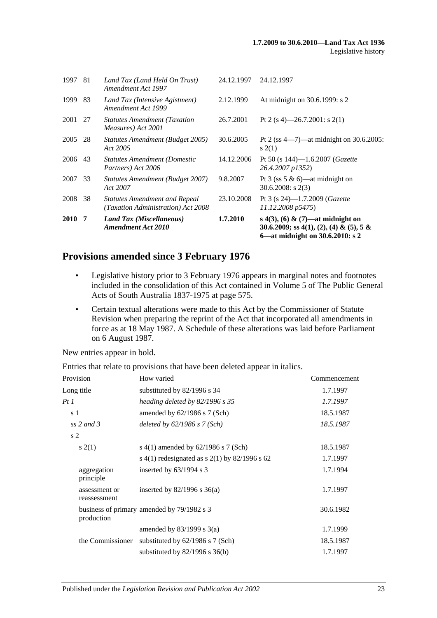| <b>2010</b> | 7  | Land Tax (Miscellaneous)<br><b>Amendment Act 2010</b>                      | 1.7.2010   | s 4(3), (6) & (7)—at midnight on<br>30.6.2009; ss 4(1), (2), (4) & (5), 5 &<br>6—at midnight on 30.6.2010: s 2 |
|-------------|----|----------------------------------------------------------------------------|------------|----------------------------------------------------------------------------------------------------------------|
| 2008        | 38 | <b>Statutes Amendment and Repeal</b><br>(Taxation Administration) Act 2008 | 23.10.2008 | Pt 3 (s $24$ )-1.7.2009 ( <i>Gazette</i><br>11.12.2008 p5475)                                                  |
| 2007        | 33 | Statutes Amendment (Budget 2007)<br>Act 2007                               | 9.8.2007   | Pt 3 (ss 5 $\&$ 6)—at midnight on<br>$30.6.2008$ : s $2(3)$                                                    |
| 2006        | 43 | <b>Statutes Amendment (Domestic</b><br>Partners) Act 2006                  | 14.12.2006 | Pt 50 (s $144$ )-1.6.2007 ( <i>Gazette</i><br>26.4.2007 p1352)                                                 |
| 2005        | 28 | Statutes Amendment (Budget 2005)<br>Act 2005                               | 30.6.2005  | Pt 2 (ss $4-7$ )—at midnight on 30.6.2005:<br>s(2(1))                                                          |
| 2001        | 27 | <b>Statutes Amendment (Taxation)</b><br>Measures) Act 2001                 | 26.7.2001  | Pt 2 (s 4)—26.7.2001: s 2(1)                                                                                   |
| 1999        | 83 | Land Tax (Intensive Agistment)<br>Amendment Act 1999                       | 2.12.1999  | At midnight on 30.6.1999: s 2                                                                                  |
| 1997        | 81 | Land Tax (Land Held On Trust)<br>Amendment Act 1997                        | 24.12.1997 | 24.12.1997                                                                                                     |

## **Provisions amended since 3 February 1976**

- Legislative history prior to 3 February 1976 appears in marginal notes and footnotes included in the consolidation of this Act contained in Volume 5 of The Public General Acts of South Australia 1837-1975 at page 575.
- Certain textual alterations were made to this Act by the Commissioner of Statute Revision when preparing the reprint of the Act that incorporated all amendments in force as at 18 May 1987. A Schedule of these alterations was laid before Parliament on 6 August 1987.

New entries appear in bold.

Entries that relate to provisions that have been deleted appear in italics.

| Provision                     | How varied                                    | Commencement |
|-------------------------------|-----------------------------------------------|--------------|
| Long title                    | substituted by 82/1996 s 34                   | 1.7.1997     |
| Pt 1                          | heading deleted by $82/1996$ s 35             | 1.7.1997     |
| s 1                           | amended by $62/1986$ s 7 (Sch)                | 18.5.1987    |
| $ss$ 2 and 3                  | deleted by $62/1986$ s $7(Sch)$               | 18.5.1987    |
| s <sub>2</sub>                |                                               |              |
| s(2(1))                       | s 4(1) amended by $62/1986$ s 7 (Sch)         | 18.5.1987    |
|                               | s 4(1) redesignated as s 2(1) by 82/1996 s 62 | 1.7.1997     |
| aggregation<br>principle      | inserted by $63/1994$ s 3                     | 1.7.1994     |
| assessment or<br>reassessment | inserted by $82/1996$ s $36(a)$               | 1.7.1997     |
| production                    | business of primary amended by 79/1982 s 3    | 30.6.1982    |
|                               | amended by $83/1999$ s $3(a)$                 | 1.7.1999     |
| the Commissioner              | substituted by $62/1986$ s 7 (Sch)            | 18.5.1987    |
|                               | substituted by $82/1996$ s $36(b)$            | 1.7.1997     |
|                               |                                               |              |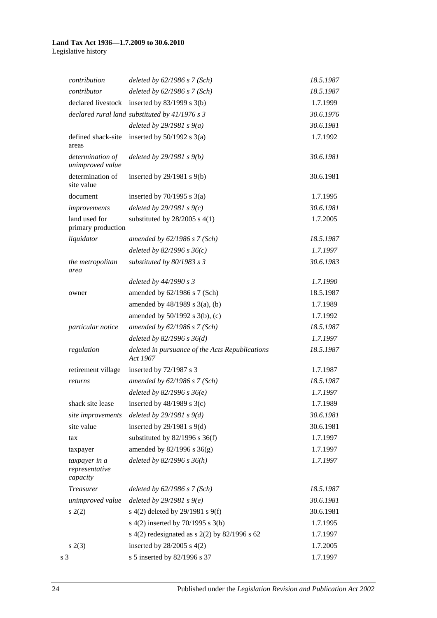| contribution                                | deleted by $62/1986$ s $7 (Sch)$                            | 18.5.1987 |
|---------------------------------------------|-------------------------------------------------------------|-----------|
| contributor                                 | deleted by $62/1986$ s $7 (Sch)$                            | 18.5.1987 |
| declared livestock                          | inserted by $83/1999$ s $3(b)$                              | 1.7.1999  |
|                                             | declared rural land substituted by $41/1976 s 3$            | 30.6.1976 |
|                                             | deleted by $29/1981 s 9(a)$                                 | 30.6.1981 |
| defined shack-site<br>areas                 | inserted by $50/1992$ s $3(a)$                              | 1.7.1992  |
| determination of<br>unimproved value        | deleted by $29/1981 s 9(b)$                                 | 30.6.1981 |
| determination of<br>site value              | inserted by $29/1981$ s $9(b)$                              | 30.6.1981 |
| document                                    | inserted by $70/1995$ s $3(a)$                              | 1.7.1995  |
| improvements                                | deleted by $29/1981 s$ 9(c)                                 | 30.6.1981 |
| land used for<br>primary production         | substituted by $28/2005$ s 4(1)                             | 1.7.2005  |
| liquidator                                  | amended by $62/1986$ s $7$ (Sch)                            | 18.5.1987 |
|                                             | deleted by $82/1996 s 36(c)$                                | 1.7.1997  |
| the metropolitan<br>area                    | substituted by 80/1983 s 3                                  | 30.6.1983 |
|                                             | deleted by 44/1990 s 3                                      | 1.7.1990  |
| owner                                       | amended by 62/1986 s 7 (Sch)                                | 18.5.1987 |
|                                             | amended by $48/1989$ s $3(a)$ , (b)                         | 1.7.1989  |
|                                             | amended by $50/1992$ s $3(b)$ , (c)                         | 1.7.1992  |
| particular notice                           | amended by $62/1986$ s $7$ (Sch)                            | 18.5.1987 |
|                                             | deleted by $82/1996 s 36(d)$                                | 1.7.1997  |
| regulation                                  | deleted in pursuance of the Acts Republications<br>Act 1967 | 18.5.1987 |
| retirement village                          | inserted by $72/1987$ s 3                                   | 1.7.1987  |
| returns                                     | amended by $62/1986$ s $7$ (Sch)                            | 18.5.1987 |
|                                             | deleted by $82/1996 s 36(e)$                                | 1.7.1997  |
| shack site lease                            | inserted by $48/1989$ s 3(c)                                | 1.7.1989  |
| site improvements                           | deleted by $29/1981 s 9(d)$                                 | 30.6.1981 |
| site value                                  | inserted by $29/1981$ s $9(d)$                              | 30.6.1981 |
| tax                                         | substituted by $82/1996$ s $36(f)$                          | 1.7.1997  |
| taxpayer                                    | amended by 82/1996 s 36(g)                                  | 1.7.1997  |
| taxpayer in a<br>representative<br>capacity | deleted by $82/1996 s 36(h)$                                | 1.7.1997  |
| <b>Treasurer</b>                            | deleted by $62/1986$ s $7 (Sch)$                            | 18.5.1987 |
| unimproved value                            | deleted by $29/1981 s9(e)$                                  | 30.6.1981 |
| s(2)                                        | s 4(2) deleted by 29/1981 s 9(f)                            | 30.6.1981 |
|                                             | s 4(2) inserted by 70/1995 s 3(b)                           | 1.7.1995  |
|                                             | s $4(2)$ redesignated as s $2(2)$ by $82/1996$ s 62         | 1.7.1997  |
| s(2(3)                                      | inserted by $28/2005$ s $4(2)$                              | 1.7.2005  |
| s 3                                         | s 5 inserted by 82/1996 s 37                                | 1.7.1997  |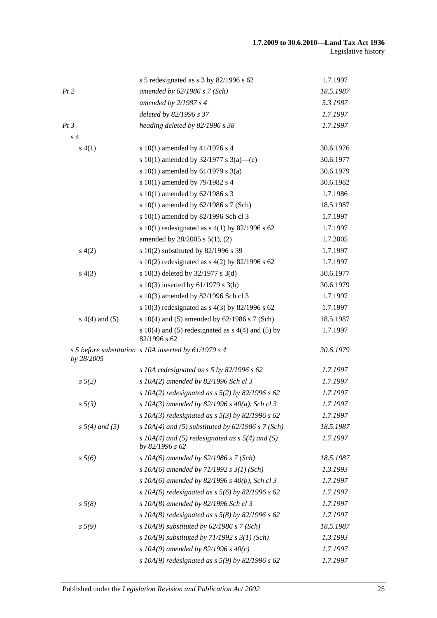|                    | s 5 redesignated as s 3 by 82/1996 s 62                                | 1.7.1997  |
|--------------------|------------------------------------------------------------------------|-----------|
| Pt2                | amended by $62/1986$ s $7$ (Sch)                                       | 18.5.1987 |
|                    | amended by $2/1987 s 4$                                                | 5.3.1987  |
|                    | deleted by 82/1996 s 37                                                | 1.7.1997  |
| Pt3                | heading deleted by 82/1996 s 38                                        | 1.7.1997  |
| s <sub>4</sub>     |                                                                        |           |
| s(4(1))            | s 10(1) amended by 41/1976 s 4                                         | 30.6.1976 |
|                    | s 10(1) amended by 32/1977 s 3(a)—(c)                                  | 30.6.1977 |
|                    | s 10(1) amended by 61/1979 s 3(a)                                      | 30.6.1979 |
|                    | s 10(1) amended by 79/1982 s 4                                         | 30.6.1982 |
|                    | s 10(1) amended by 62/1986 s 3                                         | 1.7.1986  |
|                    | s $10(1)$ amended by $62/1986$ s 7 (Sch)                               | 18.5.1987 |
|                    | s 10(1) amended by 82/1996 Sch cl 3                                    | 1.7.1997  |
|                    | s 10(1) redesignated as $s$ 4(1) by 82/1996 s 62                       | 1.7.1997  |
|                    | amended by 28/2005 s 5(1), (2)                                         | 1.7.2005  |
| s(4(2)             | s 10(2) substituted by 82/1996 s 39                                    | 1.7.1997  |
|                    | s 10(2) redesignated as s 4(2) by 82/1996 s 62                         | 1.7.1997  |
| s(4(3))            | s 10(3) deleted by 32/1977 s 3(d)                                      | 30.6.1977 |
|                    | s 10(3) inserted by $61/1979$ s 3(b)                                   | 30.6.1979 |
|                    | s 10(3) amended by 82/1996 Sch cl 3                                    | 1.7.1997  |
|                    | s 10(3) redesignated as s 4(3) by 82/1996 s 62                         | 1.7.1997  |
| $s(4(4)$ and $(5)$ | s $10(4)$ and (5) amended by $62/1986$ s 7 (Sch)                       | 18.5.1987 |
|                    | s $10(4)$ and (5) redesignated as s $4(4)$ and (5) by<br>82/1996 s 62  | 1.7.1997  |
| by 28/2005         | s 5 before substitution s 10A inserted by 61/1979 s 4                  | 30.6.1979 |
|                    | s 10A redesignated as $s$ 5 by 82/1996 $s$ 62                          | 1.7.1997  |
| $s\,5(2)$          | s 10A(2) amended by 82/1996 Sch cl 3                                   | 1.7.1997  |
|                    | s 10A(2) redesignated as $s$ 5(2) by 82/1996 s 62                      | 1.7.1997  |
| $s \, 5(3)$        | s 10A(3) amended by 82/1996 s 40(a), Sch cl 3                          | 1.7.1997  |
|                    | s 10A(3) redesignated as $s$ 5(3) by 82/1996 s 62                      | 1.7.1997  |
| $s 5(4)$ and (5)   | s $10A(4)$ and (5) substituted by 62/1986 s 7 (Sch)                    | 18.5.1987 |
|                    | s $10A(4)$ and (5) redesignated as s $5(4)$ and (5)<br>by 82/1996 s 62 | 1.7.1997  |
| $s\,5(6)$          | s $10A(6)$ amended by $62/1986$ s $7(Sch)$                             | 18.5.1987 |
|                    | s 10A(6) amended by 71/1992 s $3(1)$ (Sch)                             | 1.3.1993  |
|                    | s 10A(6) amended by 82/1996 s 40(b), Sch cl 3                          | 1.7.1997  |
|                    | s 10A(6) redesignated as $s$ 5(6) by 82/1996 s 62                      | 1.7.1997  |
| $s\,5(8)$          | s 10A(8) amended by 82/1996 Sch cl 3                                   | 1.7.1997  |
|                    | s 10A(8) redesignated as $s$ 5(8) by 82/1996 s 62                      | 1.7.1997  |
| $s\,5(9)$          | s 10A(9) substituted by $62/1986$ s 7 (Sch)                            | 18.5.1987 |
|                    | s 10A(9) substituted by 71/1992 s $3(1)$ (Sch)                         | 1.3.1993  |
|                    | s 10A(9) amended by 82/1996 s $40(c)$                                  | 1.7.1997  |
|                    | s 10A(9) redesignated as $s$ 5(9) by 82/1996 s 62                      | 1.7.1997  |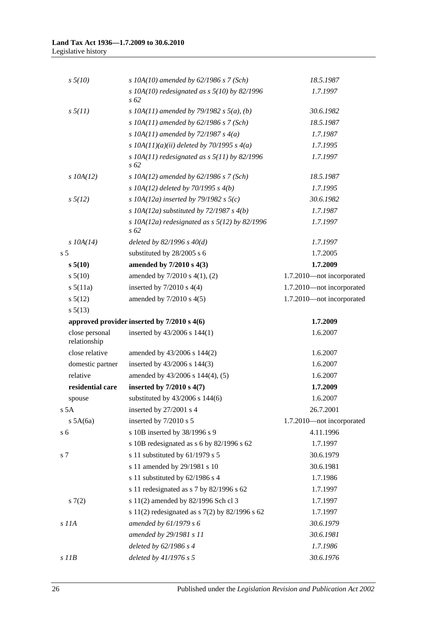| $s \frac{5}{10}$               | s 10A(10) amended by $62/1986$ s 7 (Sch)                    | 18.5.1987                 |
|--------------------------------|-------------------------------------------------------------|---------------------------|
|                                | s 10A(10) redesignated as $s$ 5(10) by 82/1996<br>$s\,62$   | 1.7.1997                  |
| $s \frac{5}{11}$               | s 10A(11) amended by 79/1982 s $5(a)$ , (b)                 | 30.6.1982                 |
|                                | s 10A(11) amended by $62/1986$ s 7 (Sch)                    | 18.5.1987                 |
|                                | s 10A(11) amended by 72/1987 s $4(a)$                       | 1.7.1987                  |
|                                | s $10A(11)(a)(ii)$ deleted by 70/1995 s 4(a)                | 1.7.1995                  |
|                                | s $10A(11)$ redesignated as s $5(11)$ by 82/1996<br>$s\,62$ | 1.7.1997                  |
| $s$ 10A(12)                    | s 10A(12) amended by $62/1986$ s 7 (Sch)                    | 18.5.1987                 |
|                                | s $10A(12)$ deleted by $70/1995$ s $4(b)$                   | 1.7.1995                  |
| $s\,5(12)$                     | s 10A(12a) inserted by 79/1982 s $5(c)$                     | 30.6.1982                 |
|                                | s 10A(12a) substituted by 72/1987 s $4(b)$                  | 1.7.1987                  |
|                                | s 10A(12a) redesignated as s $5(12)$ by 82/1996<br>$s\,62$  | 1.7.1997                  |
| $s$ 10A(14)                    | deleted by $82/1996 s 40(d)$                                | 1.7.1997                  |
| s <sub>5</sub>                 | substituted by 28/2005 s 6                                  | 1.7.2005                  |
| s 5(10)                        | amended by 7/2010 s 4(3)                                    | 1.7.2009                  |
| $s\,5(10)$                     | amended by 7/2010 s 4(1), (2)                               | 1.7.2010-not incorporated |
| s 5(11a)                       | inserted by $7/2010$ s $4(4)$                               | 1.7.2010-not incorporated |
| $s\,5(12)$                     | amended by $7/2010$ s $4(5)$                                | 1.7.2010-not incorporated |
| $s\,5(13)$                     |                                                             |                           |
|                                | approved provider inserted by 7/2010 s 4(6)                 | 1.7.2009                  |
| close personal<br>relationship | inserted by 43/2006 s 144(1)                                | 1.6.2007                  |
| close relative                 | amended by 43/2006 s 144(2)                                 | 1.6.2007                  |
| domestic partner               | inserted by 43/2006 s 144(3)                                | 1.6.2007                  |
| relative                       | amended by 43/2006 s 144(4), (5)                            | 1.6.2007                  |
| residential care               | inserted by $7/2010$ s $4(7)$                               | 1.7.2009                  |
| spouse                         | substituted by 43/2006 s 144(6)                             | 1.6.2007                  |
| s 5A                           | inserted by 27/2001 s 4                                     | 26.7.2001                 |
| $s$ 5A(6a)                     | inserted by 7/2010 s 5                                      | 1.7.2010-not incorporated |
| s <sub>6</sub>                 | s 10B inserted by 38/1996 s 9                               | 4.11.1996                 |
|                                | s 10B redesignated as s 6 by 82/1996 s 62                   | 1.7.1997                  |
| s 7                            | s 11 substituted by 61/1979 s 5                             | 30.6.1979                 |
|                                | s 11 amended by 29/1981 s 10                                | 30.6.1981                 |
|                                | s 11 substituted by 62/1986 s 4                             | 1.7.1986                  |
|                                | s 11 redesignated as s 7 by 82/1996 s 62                    | 1.7.1997                  |
| s(7(2)                         | s 11(2) amended by 82/1996 Sch cl 3                         | 1.7.1997                  |
|                                | s 11(2) redesignated as s 7(2) by 82/1996 s 62              | 1.7.1997                  |
| s 11A                          | amended by $61/1979 s 6$                                    | 30.6.1979                 |
|                                | amended by 29/1981 s 11                                     | 30.6.1981                 |
|                                | deleted by 62/1986 s 4                                      | 1.7.1986                  |
| $s$ $I$ <i>IB</i>              | deleted by $41/1976 s 5$                                    | 30.6.1976                 |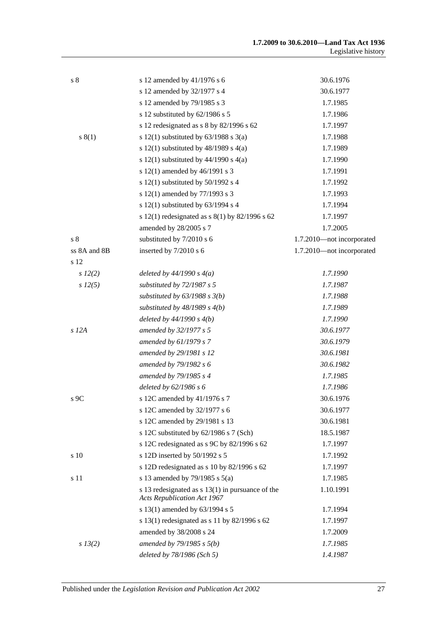| s <sub>8</sub> | s 12 amended by 41/1976 s 6                                                              | 30.6.1976                 |
|----------------|------------------------------------------------------------------------------------------|---------------------------|
|                | s 12 amended by 32/1977 s 4                                                              | 30.6.1977                 |
|                | s 12 amended by 79/1985 s 3                                                              | 1.7.1985                  |
|                | s 12 substituted by 62/1986 s 5                                                          | 1.7.1986                  |
|                | s 12 redesignated as s 8 by 82/1996 s 62                                                 | 1.7.1997                  |
| s(1)           | s 12(1) substituted by $63/1988$ s 3(a)                                                  | 1.7.1988                  |
|                | s 12(1) substituted by $48/1989$ s $4(a)$                                                | 1.7.1989                  |
|                | s 12(1) substituted by $44/1990$ s 4(a)                                                  | 1.7.1990                  |
|                | s 12(1) amended by 46/1991 s 3                                                           | 1.7.1991                  |
|                | s 12(1) substituted by $50/1992$ s 4                                                     | 1.7.1992                  |
|                | s 12(1) amended by 77/1993 s 3                                                           | 1.7.1993                  |
|                | s 12(1) substituted by $63/1994$ s 4                                                     | 1.7.1994                  |
|                | s 12(1) redesignated as $s(1)$ by 82/1996 s 62                                           | 1.7.1997                  |
|                | amended by 28/2005 s 7                                                                   | 1.7.2005                  |
| s <sub>8</sub> | substituted by 7/2010 s 6                                                                | 1.7.2010-not incorporated |
| ss 8A and 8B   | inserted by 7/2010 s 6                                                                   | 1.7.2010-not incorporated |
| s 12           |                                                                                          |                           |
| $s\ 12(2)$     | deleted by $44/1990 s 4(a)$                                                              | 1.7.1990                  |
| $s\,12(5)$     | substituted by 72/1987 s 5                                                               | 1.7.1987                  |
|                | substituted by $63/1988$ s $3(b)$                                                        | 1.7.1988                  |
|                | substituted by $48/1989$ s $4(b)$                                                        | 1.7.1989                  |
|                | deleted by $44/1990 s 4(b)$                                                              | 1.7.1990                  |
| $s$ 12 $A$     | amended by 32/1977 s 5                                                                   | 30.6.1977                 |
|                | amended by 61/1979 s 7                                                                   | 30.6.1979                 |
|                | amended by 29/1981 s 12                                                                  | 30.6.1981                 |
|                | amended by 79/1982 s 6                                                                   | 30.6.1982                 |
|                | amended by 79/1985 s 4                                                                   | 1.7.1985                  |
|                | deleted by 62/1986 s 6                                                                   | 1.7.1986                  |
| $s$ 9C         | s 12C amended by 41/1976 s 7                                                             | 30.6.1976                 |
|                | s 12C amended by 32/1977 s 6                                                             | 30.6.1977                 |
|                | s 12C amended by 29/1981 s 13                                                            | 30.6.1981                 |
|                | s 12C substituted by 62/1986 s 7 (Sch)                                                   | 18.5.1987                 |
|                | s 12C redesignated as s 9C by 82/1996 s 62                                               | 1.7.1997                  |
| s 10           | s 12D inserted by 50/1992 s 5                                                            | 1.7.1992                  |
|                | s 12D redesignated as s 10 by 82/1996 s 62                                               | 1.7.1997                  |
| s 11           | s 13 amended by 79/1985 s $5(a)$                                                         | 1.7.1985                  |
|                | s 13 redesignated as $s$ 13(1) in pursuance of the<br><b>Acts Republication Act 1967</b> | 1.10.1991                 |
|                | s 13(1) amended by 63/1994 s 5                                                           | 1.7.1994                  |
|                | s 13(1) redesignated as s 11 by $82/1996$ s 62                                           | 1.7.1997                  |
|                | amended by 38/2008 s 24                                                                  | 1.7.2009                  |
| $s\,13(2)$     | amended by $79/1985 s 5(b)$                                                              | 1.7.1985                  |
|                | deleted by $78/1986$ (Sch 5)                                                             | 1.4.1987                  |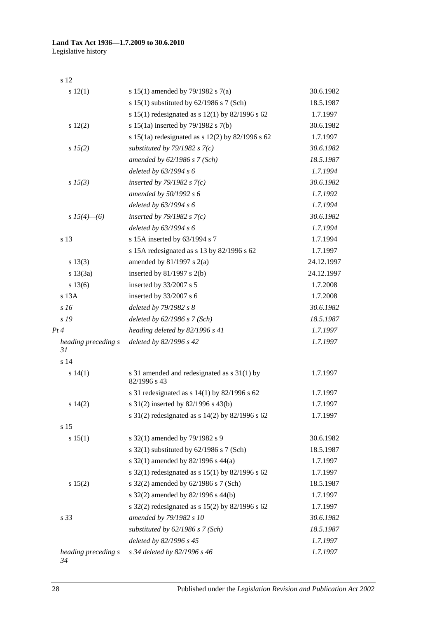s 12

| s 12(1)                   | s 15(1) amended by 79/1982 s 7(a)                           | 30.6.1982  |
|---------------------------|-------------------------------------------------------------|------------|
|                           | s $15(1)$ substituted by $62/1986$ s 7 (Sch)                | 18.5.1987  |
|                           | s 15(1) redesignated as s 12(1) by 82/1996 s 62             | 1.7.1997   |
| s 12(2)                   | s 15(1a) inserted by 79/1982 s 7(b)                         | 30.6.1982  |
|                           | s 15(1a) redesignated as s 12(2) by 82/1996 s 62            | 1.7.1997   |
| s 15(2)                   | substituted by 79/1982 s $7(c)$                             | 30.6.1982  |
|                           | amended by 62/1986 s 7 (Sch)                                | 18.5.1987  |
|                           | deleted by 63/1994 s 6                                      | 1.7.1994   |
| s 15(3)                   | inserted by 79/1982 s $7(c)$                                | 30.6.1982  |
|                           | amended by 50/1992 s 6                                      | 1.7.1992   |
|                           | deleted by 63/1994 s 6                                      | 1.7.1994   |
| s $15(4)$ —(6)            | inserted by $79/1982$ s $7(c)$                              | 30.6.1982  |
|                           | deleted by 63/1994 s 6                                      | 1.7.1994   |
| s 13                      | s 15A inserted by 63/1994 s 7                               | 1.7.1994   |
|                           | s 15A redesignated as s 13 by 82/1996 s 62                  | 1.7.1997   |
| s 13(3)                   | amended by $81/1997$ s $2(a)$                               | 24.12.1997 |
| s 13(3a)                  | inserted by $81/1997$ s $2(b)$                              | 24.12.1997 |
| s 13(6)                   | inserted by 33/2007 s 5                                     | 1.7.2008   |
| s 13A                     | inserted by 33/2007 s 6                                     | 1.7.2008   |
| s16                       | deleted by 79/1982 s 8                                      | 30.6.1982  |
| s 19                      | deleted by $62/1986$ s $7 (Sch)$                            | 18.5.1987  |
| Pt 4                      | heading deleted by 82/1996 s 41                             | 1.7.1997   |
| heading preceding s<br>31 | deleted by 82/1996 s 42                                     | 1.7.1997   |
| s 14                      |                                                             |            |
| s 14(1)                   | s 31 amended and redesignated as s 31(1) by<br>82/1996 s 43 | 1.7.1997   |
|                           | s 31 redesignated as $s$ 14(1) by 82/1996 s 62              | 1.7.1997   |
| s 14(2)                   | s 31(2) inserted by 82/1996 s 43(b)                         | 1.7.1997   |
|                           | s 31(2) redesignated as s 14(2) by 82/1996 s 62             | 1.7.1997   |
| s 15                      |                                                             |            |
| s 15(1)                   | s 32(1) amended by 79/1982 s 9                              | 30.6.1982  |
|                           | s $32(1)$ substituted by $62/1986$ s 7 (Sch)                | 18.5.1987  |
|                           | s 32(1) amended by 82/1996 s 44(a)                          | 1.7.1997   |
|                           | s 32(1) redesignated as s 15(1) by 82/1996 s 62             | 1.7.1997   |
| s 15(2)                   | s 32(2) amended by 62/1986 s 7 (Sch)                        | 18.5.1987  |
|                           | s 32(2) amended by 82/1996 s 44(b)                          | 1.7.1997   |
|                           | s 32(2) redesignated as s $15(2)$ by 82/1996 s 62           | 1.7.1997   |
| s <sub>33</sub>           | amended by 79/1982 s 10                                     | 30.6.1982  |
|                           | substituted by $62/1986$ s $7 (Sch)$                        | 18.5.1987  |
|                           | deleted by 82/1996 s 45                                     | 1.7.1997   |
| heading preceding s       | s 34 deleted by 82/1996 s 46                                | 1.7.1997   |
|                           |                                                             |            |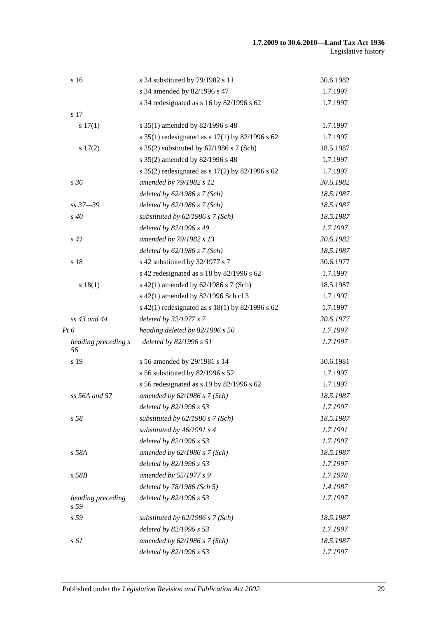| s 16                                 | s 34 substituted by 79/1982 s 11                      | 30.6.1982 |
|--------------------------------------|-------------------------------------------------------|-----------|
|                                      | s 34 amended by 82/1996 s 47                          | 1.7.1997  |
|                                      | s 34 redesignated as s 16 by 82/1996 s 62             | 1.7.1997  |
| s 17                                 |                                                       |           |
| s 17(1)                              | s 35(1) amended by 82/1996 s 48                       | 1.7.1997  |
|                                      | s 35(1) redesignated as s $17(1)$ by 82/1996 s 62     | 1.7.1997  |
| s 17(2)                              | s $35(2)$ substituted by $62/1986$ s 7 (Sch)          | 18.5.1987 |
|                                      | s 35(2) amended by 82/1996 s 48                       | 1.7.1997  |
|                                      | s $35(2)$ redesignated as s $17(2)$ by $82/1996$ s 62 | 1.7.1997  |
| s36                                  | amended by 79/1982 s 12                               | 30.6.1982 |
|                                      | deleted by $62/1986$ s $7$ (Sch)                      | 18.5.1987 |
| $ss\,37 - 39$                        | deleted by $62/1986$ s $7$ (Sch)                      | 18.5.1987 |
| $s\,40$                              | substituted by 62/1986 s 7 (Sch)                      | 18.5.1987 |
|                                      | deleted by 82/1996 s 49                               | 1.7.1997  |
| s41                                  | amended by 79/1982 s 13                               | 30.6.1982 |
|                                      | deleted by 62/1986 s 7 (Sch)                          | 18.5.1987 |
| s 18                                 | s 42 substituted by 32/1977 s 7                       | 30.6.1977 |
|                                      | s 42 redesignated as s 18 by 82/1996 s 62             | 1.7.1997  |
| s 18(1)                              | s 42(1) amended by 62/1986 s 7 (Sch)                  | 18.5.1987 |
|                                      | s 42(1) amended by 82/1996 Sch cl 3                   | 1.7.1997  |
|                                      | s 42(1) redesignated as s 18(1) by 82/1996 s 62       | 1.7.1997  |
| ss 43 and 44                         | deleted by 32/1977 s 7                                | 30.6.1977 |
| Pt 6                                 | heading deleted by 82/1996 s 50                       | 1.7.1997  |
| heading preceding s<br>56            | deleted by 82/1996 s 51                               | 1.7.1997  |
| s 19                                 | s 56 amended by 29/1981 s 14                          | 30.6.1981 |
|                                      | s 56 substituted by 82/1996 s 52                      | 1.7.1997  |
|                                      | s 56 redesignated as s 19 by 82/1996 s 62             | 1.7.1997  |
| ss 56A and 57                        | amended by 62/1986 s 7 (Sch)                          | 18.5.1987 |
|                                      | deleted by 82/1996 s 53                               | 1.7.1997  |
| s <sub>58</sub>                      | substituted by 62/1986 s 7 (Sch)                      | 18.5.1987 |
|                                      | substituted by 46/1991 s 4                            | 1.7.1991  |
|                                      | deleted by 82/1996 s 53                               | 1.7.1997  |
| s 58A                                | amended by $62/1986$ s $7$ (Sch)                      | 18.5.1987 |
|                                      | deleted by 82/1996 s 53                               | 1.7.1997  |
| $s$ 58 $B$                           | amended by 55/1977 s 9                                | 1.7.1978  |
|                                      | deleted by 78/1986 (Sch 5)                            | 1.4.1987  |
| heading preceding<br>s <sub>59</sub> | deleted by 82/1996 s 53                               | 1.7.1997  |
| s 59                                 | substituted by $62/1986$ s $7$ (Sch)                  | 18.5.1987 |
|                                      | deleted by 82/1996 s 53                               | 1.7.1997  |
| s 61                                 | amended by 62/1986 s 7 (Sch)                          | 18.5.1987 |
|                                      | deleted by 82/1996 s 53                               | 1.7.1997  |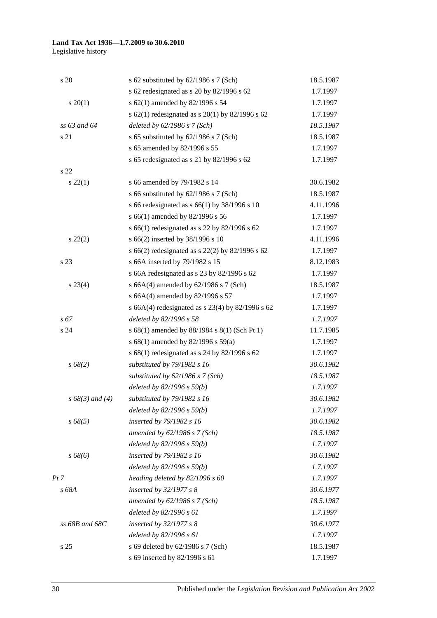| s 20               | s 62 substituted by $62/1986$ s 7 (Sch)              | 18.5.1987 |
|--------------------|------------------------------------------------------|-----------|
|                    | s 62 redesignated as s 20 by 82/1996 s 62            | 1.7.1997  |
| $s \ 20(1)$        | s 62(1) amended by 82/1996 s 54                      | 1.7.1997  |
|                    | s 62(1) redesignated as s 20(1) by 82/1996 s 62      | 1.7.1997  |
| ss 63 and 64       | deleted by $62/1986$ s $7 (Sch)$                     | 18.5.1987 |
| s 21               | s 65 substituted by 62/1986 s 7 (Sch)                | 18.5.1987 |
|                    | s 65 amended by 82/1996 s 55                         | 1.7.1997  |
|                    | s 65 redesignated as s 21 by 82/1996 s 62            | 1.7.1997  |
| s <sub>22</sub>    |                                                      |           |
| $s\,22(1)$         | s 66 amended by 79/1982 s 14                         | 30.6.1982 |
|                    | s 66 substituted by 62/1986 s 7 (Sch)                | 18.5.1987 |
|                    | s 66 redesignated as s 66(1) by $38/1996$ s 10       | 4.11.1996 |
|                    | s 66(1) amended by 82/1996 s 56                      | 1.7.1997  |
|                    | s 66(1) redesignated as s 22 by 82/1996 s 62         | 1.7.1997  |
| $s\ 22(2)$         | s 66(2) inserted by 38/1996 s 10                     | 4.11.1996 |
|                    | s 66(2) redesignated as s 22(2) by 82/1996 s 62      | 1.7.1997  |
| s 23               | s 66A inserted by 79/1982 s 15                       | 8.12.1983 |
|                    | s 66A redesignated as s 23 by 82/1996 s 62           | 1.7.1997  |
| $s\,23(4)$         | s 66A $(4)$ amended by 62/1986 s 7 (Sch)             | 18.5.1987 |
|                    | s 66A(4) amended by 82/1996 s 57                     | 1.7.1997  |
|                    | s 66A(4) redesignated as s $23(4)$ by $82/1996$ s 62 | 1.7.1997  |
| $s\,67$            | deleted by 82/1996 s 58                              | 1.7.1997  |
| s 24               | s 68(1) amended by 88/1984 s 8(1) (Sch Pt 1)         | 11.7.1985 |
|                    | s 68(1) amended by 82/1996 s 59(a)                   | 1.7.1997  |
|                    | s 68(1) redesignated as s 24 by 82/1996 s 62         | 1.7.1997  |
| s 68(2)            | substituted by 79/1982 s 16                          | 30.6.1982 |
|                    | substituted by $62/1986$ s $7$ (Sch)                 | 18.5.1987 |
|                    | deleted by $82/1996 s 59(b)$                         | 1.7.1997  |
| $s\,68(3)$ and (4) | substituted by 79/1982 s 16                          | 30.6.1982 |
|                    | deleted by $82/1996 s 59(b)$                         | 1.7.1997  |
| $s\,68(5)$         | inserted by 79/1982 s 16                             | 30.6.1982 |
|                    | amended by $62/1986$ s $7$ (Sch)                     | 18.5.1987 |
|                    | deleted by 82/1996 s 59(b)                           | 1.7.1997  |
| $s\,68(6)$         | inserted by 79/1982 s 16                             | 30.6.1982 |
|                    | deleted by $82/1996 s 59(b)$                         | 1.7.1997  |
| Pt 7               | heading deleted by 82/1996 s 60                      | 1.7.1997  |
| s 68A              | inserted by 32/1977 s 8                              | 30.6.1977 |
|                    | amended by $62/1986$ s $7$ (Sch)                     | 18.5.1987 |
|                    | deleted by 82/1996 s 61                              | 1.7.1997  |
| ss 68B and 68C     | inserted by $32/1977 s 8$                            | 30.6.1977 |
|                    | deleted by 82/1996 s 61                              | 1.7.1997  |
| s <sub>25</sub>    | s 69 deleted by 62/1986 s 7 (Sch)                    | 18.5.1987 |
|                    | s 69 inserted by 82/1996 s 61                        | 1.7.1997  |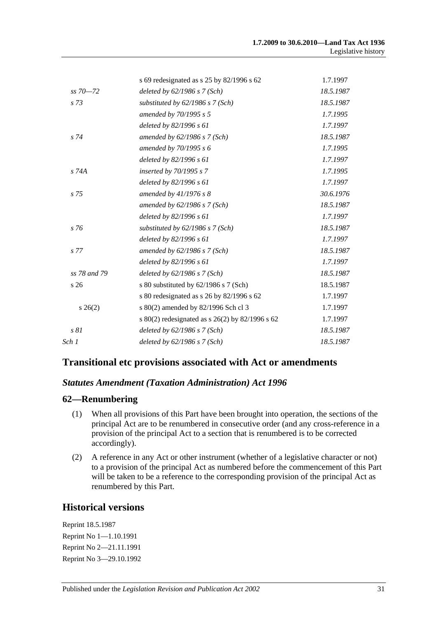|                 | s 69 redesignated as s 25 by 82/1996 s 62         | 1.7.1997  |
|-----------------|---------------------------------------------------|-----------|
| $ss\,70 - 72$   | deleted by $62/1986$ s $7(Sch)$                   | 18.5.1987 |
| $s\,73$         | substituted by $62/1986$ s $7$ (Sch)              | 18.5.1987 |
|                 | amended by 70/1995 s 5                            | 1.7.1995  |
|                 | deleted by 82/1996 s 61                           | 1.7.1997  |
| $s\,74$         | amended by $62/1986$ s $7$ (Sch)                  | 18.5.1987 |
|                 | amended by 70/1995 s 6                            | 1.7.1995  |
|                 | deleted by 82/1996 s 61                           | 1.7.1997  |
| s 74A           | inserted by 70/1995 s 7                           | 1.7.1995  |
|                 | deleted by 82/1996 s 61                           | 1.7.1997  |
| $s\,75$         | amended by $41/1976 s 8$                          | 30.6.1976 |
|                 | amended by $62/1986$ s $7$ (Sch)                  | 18.5.1987 |
|                 | deleted by $82/1996 s 61$                         | 1.7.1997  |
| s 76            | substituted by $62/1986$ s $7$ (Sch)              | 18.5.1987 |
|                 | deleted by $82/1996 s 61$                         | 1.7.1997  |
| s 77            | amended by $62/1986$ s $7$ (Sch)                  | 18.5.1987 |
|                 | deleted by 82/1996 s 61                           | 1.7.1997  |
| ss 78 and 79    | deleted by $62/1986$ s $7$ (Sch)                  | 18.5.1987 |
| s <sub>26</sub> | s 80 substituted by 62/1986 s 7 (Sch)             | 18.5.1987 |
|                 | s 80 redesignated as s 26 by 82/1996 s 62         | 1.7.1997  |
| $s \; 26(2)$    | s 80(2) amended by 82/1996 Sch cl 3               | 1.7.1997  |
|                 | s 80(2) redesignated as s $26(2)$ by 82/1996 s 62 | 1.7.1997  |
| s 81            | deleted by $62/1986$ s $7$ (Sch)                  | 18.5.1987 |
| Sch 1           | deleted by $62/1986$ s $7$ (Sch)                  | 18.5.1987 |

## **Transitional etc provisions associated with Act or amendments**

#### *Statutes Amendment (Taxation Administration) Act 1996*

#### **62—Renumbering**

- (1) When all provisions of this Part have been brought into operation, the sections of the principal Act are to be renumbered in consecutive order (and any cross-reference in a provision of the principal Act to a section that is renumbered is to be corrected accordingly).
- (2) A reference in any Act or other instrument (whether of a legislative character or not) to a provision of the principal Act as numbered before the commencement of this Part will be taken to be a reference to the corresponding provision of the principal Act as renumbered by this Part.

#### **Historical versions**

Reprint 18.5.1987 Reprint No 1—1.10.1991 Reprint No 2—21.11.1991 Reprint No 3—29.10.1992